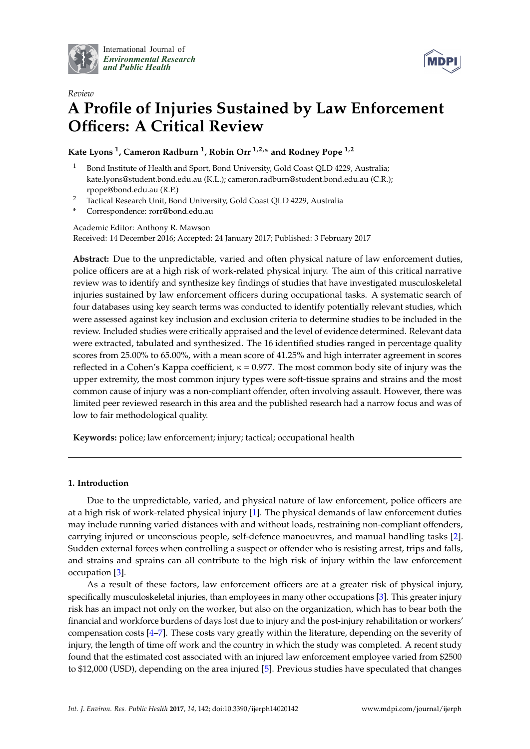

International Journal of *[Environmental Research](http://www.mdpi.com/journal/ijerph) and Public Health*



# *Review* **A Profile of Injuries Sustained by Law Enforcement Officers: A Critical Review**

**Kate Lyons <sup>1</sup> , Cameron Radburn <sup>1</sup> , Robin Orr 1,2,\* and Rodney Pope 1,2**

- Bond Institute of Health and Sport, Bond University, Gold Coast QLD 4229, Australia; kate.lyons@student.bond.edu.au (K.L.); cameron.radburn@student.bond.edu.au (C.R.); rpope@bond.edu.au (R.P.)
- <sup>2</sup> Tactical Research Unit, Bond University, Gold Coast QLD 4229, Australia
- **\*** Correspondence: rorr@bond.edu.au

Academic Editor: Anthony R. Mawson Received: 14 December 2016; Accepted: 24 January 2017; Published: 3 February 2017

**Abstract:** Due to the unpredictable, varied and often physical nature of law enforcement duties, police officers are at a high risk of work-related physical injury. The aim of this critical narrative review was to identify and synthesize key findings of studies that have investigated musculoskeletal injuries sustained by law enforcement officers during occupational tasks. A systematic search of four databases using key search terms was conducted to identify potentially relevant studies, which were assessed against key inclusion and exclusion criteria to determine studies to be included in the review. Included studies were critically appraised and the level of evidence determined. Relevant data were extracted, tabulated and synthesized. The 16 identified studies ranged in percentage quality scores from 25.00% to 65.00%, with a mean score of 41.25% and high interrater agreement in scores reflected in a Cohen's Kappa coefficient,  $\kappa = 0.977$ . The most common body site of injury was the upper extremity, the most common injury types were soft-tissue sprains and strains and the most common cause of injury was a non-compliant offender, often involving assault. However, there was limited peer reviewed research in this area and the published research had a narrow focus and was of low to fair methodological quality.

**Keywords:** police; law enforcement; injury; tactical; occupational health

## **1. Introduction**

Due to the unpredictable, varied, and physical nature of law enforcement, police officers are at a high risk of work-related physical injury [\[1\]](#page-18-0). The physical demands of law enforcement duties may include running varied distances with and without loads, restraining non-compliant offenders, carrying injured or unconscious people, self-defence manoeuvres, and manual handling tasks [\[2\]](#page-18-1). Sudden external forces when controlling a suspect or offender who is resisting arrest, trips and falls, and strains and sprains can all contribute to the high risk of injury within the law enforcement occupation [\[3\]](#page-18-2).

As a result of these factors, law enforcement officers are at a greater risk of physical injury, specifically musculoskeletal injuries, than employees in many other occupations [\[3\]](#page-18-2). This greater injury risk has an impact not only on the worker, but also on the organization, which has to bear both the financial and workforce burdens of days lost due to injury and the post-injury rehabilitation or workers' compensation costs [\[4–](#page-18-3)[7\]](#page-18-4). These costs vary greatly within the literature, depending on the severity of injury, the length of time off work and the country in which the study was completed. A recent study found that the estimated cost associated with an injured law enforcement employee varied from \$2500 to \$12,000 (USD), depending on the area injured [\[5\]](#page-18-5). Previous studies have speculated that changes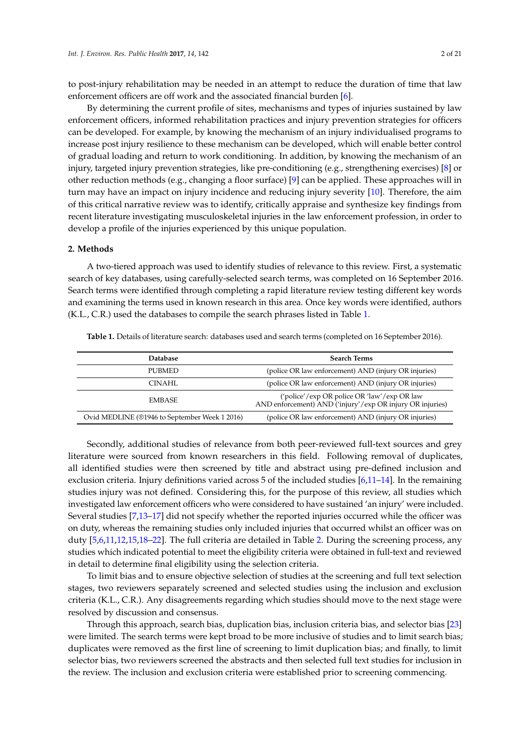to post-injury rehabilitation may be needed in an attempt to reduce the duration of time that law enforcement officers are off work and the associated financial burden [\[6\]](#page-18-6).

By determining the current profile of sites, mechanisms and types of injuries sustained by law enforcement officers, informed rehabilitation practices and injury prevention strategies for officers can be developed. For example, by knowing the mechanism of an injury individualised programs to increase post injury resilience to these mechanism can be developed, which will enable better control of gradual loading and return to work conditioning. In addition, by knowing the mechanism of an injury, targeted injury prevention strategies, like pre-conditioning (e.g., strengthening exercises) [\[8\]](#page-18-7) or other reduction methods (e.g., changing a floor surface) [\[9\]](#page-18-8) can be applied. These approaches will in turn may have an impact on injury incidence and reducing injury severity [\[10\]](#page-18-9). Therefore, the aim of this critical narrative review was to identify, critically appraise and synthesize key findings from recent literature investigating musculoskeletal injuries in the law enforcement profession, in order to develop a profile of the injuries experienced by this unique population.

#### **2. Methods**

A two-tiered approach was used to identify studies of relevance to this review. First, a systematic search of key databases, using carefully-selected search terms, was completed on 16 September 2016. Search terms were identified through completing a rapid literature review testing different key words and examining the terms used in known research in this area. Once key words were identified, authors (K.L., C.R.) used the databases to compile the search phrases listed in Table [1.](#page-1-0)

| <b>Database</b>                               | <b>Search Terms</b>                                                                                      |
|-----------------------------------------------|----------------------------------------------------------------------------------------------------------|
| <b>PUBMED</b>                                 | (police OR law enforcement) AND (injury OR injuries)                                                     |
| CINAHL                                        | (police OR law enforcement) AND (injury OR injuries)                                                     |
| <b>EMBASE</b>                                 | ('police'/exp OR police OR 'law'/exp OR law<br>AND enforcement) AND ('injury'/exp OR injury OR injuries) |
| Ovid MEDLINE (01946 to September Week 1 2016) | (police OR law enforcement) AND (injury OR injuries)                                                     |

<span id="page-1-0"></span>**Table 1.** Details of literature search: databases used and search terms (completed on 16 September 2016).

Secondly, additional studies of relevance from both peer-reviewed full-text sources and grey literature were sourced from known researchers in this field. Following removal of duplicates, all identified studies were then screened by title and abstract using pre-defined inclusion and exclusion criteria. Injury definitions varied across 5 of the included studies [\[6,](#page-18-6)[11–](#page-18-10)[14\]](#page-18-11). In the remaining studies injury was not defined. Considering this, for the purpose of this review, all studies which investigated law enforcement officers who were considered to have sustained 'an injury' were included. Several studies [\[7](#page-18-4)[,13–](#page-18-12)[17\]](#page-18-13) did not specify whether the reported injuries occurred while the officer was on duty, whereas the remaining studies only included injuries that occurred whilst an officer was on duty [\[5](#page-18-5)[,6](#page-18-6)[,11](#page-18-10)[,12](#page-18-14)[,15](#page-18-15)[,18](#page-18-16)[–22\]](#page-18-17). The full criteria are detailed in Table [2.](#page-2-0) During the screening process, any studies which indicated potential to meet the eligibility criteria were obtained in full-text and reviewed in detail to determine final eligibility using the selection criteria.

To limit bias and to ensure objective selection of studies at the screening and full text selection stages, two reviewers separately screened and selected studies using the inclusion and exclusion criteria (K.L., C.R.). Any disagreements regarding which studies should move to the next stage were resolved by discussion and consensus.

Through this approach, search bias, duplication bias, inclusion criteria bias, and selector bias [\[23\]](#page-18-18) were limited. The search terms were kept broad to be more inclusive of studies and to limit search bias; duplicates were removed as the first line of screening to limit duplication bias; and finally, to limit selector bias, two reviewers screened the abstracts and then selected full text studies for inclusion in the review. The inclusion and exclusion criteria were established prior to screening commencing.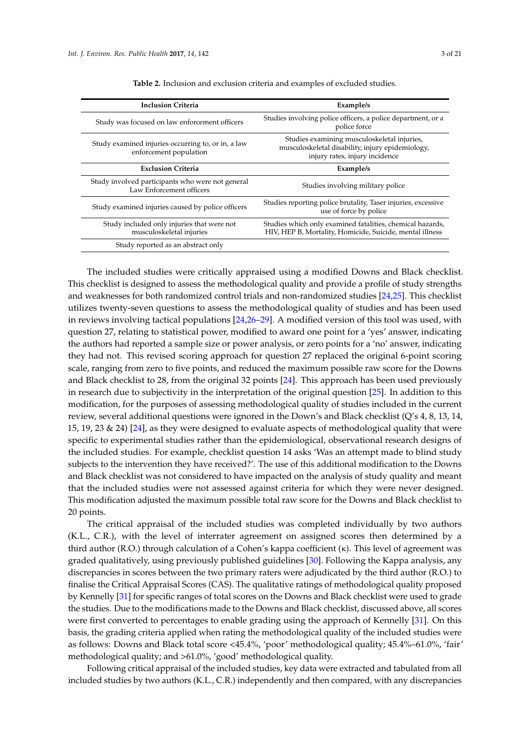<span id="page-2-0"></span>

| <b>Inclusion Criteria</b>                                                    | Example/s                                                                                                                         |  |  |  |  |  |  |
|------------------------------------------------------------------------------|-----------------------------------------------------------------------------------------------------------------------------------|--|--|--|--|--|--|
| Study was focused on law enforcement officers                                | Studies involving police officers, a police department, or a<br>police force                                                      |  |  |  |  |  |  |
| Study examined injuries occurring to, or in, a law<br>enforcement population | Studies examining musculoskeletal injuries,<br>musculoskeletal disability, injury epidemiology,<br>injury rates, injury incidence |  |  |  |  |  |  |
| <b>Exclusion Criteria</b>                                                    | Example/s                                                                                                                         |  |  |  |  |  |  |
| Study involved participants who were not general<br>Law Enforcement officers | Studies involving military police                                                                                                 |  |  |  |  |  |  |
| Study examined injuries caused by police officers                            | Studies reporting police brutality, Taser injuries, excessive<br>use of force by police                                           |  |  |  |  |  |  |
| Study included only injuries that were not<br>musculoskeletal injuries       | Studies which only examined fatalities, chemical hazards,<br>HIV, HEP B, Mortality, Homicide, Suicide, mental illness             |  |  |  |  |  |  |
| Study reported as an abstract only                                           |                                                                                                                                   |  |  |  |  |  |  |

**Table 2.** Inclusion and exclusion criteria and examples of excluded studies.

The included studies were critically appraised using a modified Downs and Black checklist. This checklist is designed to assess the methodological quality and provide a profile of study strengths and weaknesses for both randomized control trials and non-randomized studies [\[24](#page-19-0)[,25\]](#page-19-1). This checklist utilizes twenty-seven questions to assess the methodological quality of studies and has been used in reviews involving tactical populations [\[24,](#page-19-0)[26–](#page-19-2)[29\]](#page-19-3). A modified version of this tool was used, with question 27, relating to statistical power, modified to award one point for a 'yes' answer, indicating the authors had reported a sample size or power analysis, or zero points for a 'no' answer, indicating they had not. This revised scoring approach for question 27 replaced the original 6-point scoring scale, ranging from zero to five points, and reduced the maximum possible raw score for the Downs and Black checklist to 28, from the original 32 points [\[24\]](#page-19-0). This approach has been used previously in research due to subjectivity in the interpretation of the original question [\[25\]](#page-19-1). In addition to this modification, for the purposes of assessing methodological quality of studies included in the current review, several additional questions were ignored in the Down's and Black checklist (Q's 4, 8, 13, 14, 15, 19, 23 & 24) [\[24\]](#page-19-0), as they were designed to evaluate aspects of methodological quality that were specific to experimental studies rather than the epidemiological, observational research designs of the included studies. For example, checklist question 14 asks 'Was an attempt made to blind study subjects to the intervention they have received?'. The use of this additional modification to the Downs and Black checklist was not considered to have impacted on the analysis of study quality and meant that the included studies were not assessed against criteria for which they were never designed. This modification adjusted the maximum possible total raw score for the Downs and Black checklist to 20 points.

The critical appraisal of the included studies was completed individually by two authors (K.L., C.R.), with the level of interrater agreement on assigned scores then determined by a third author (R.O.) through calculation of a Cohen's kappa coefficient (κ). This level of agreement was graded qualitatively, using previously published guidelines [\[30\]](#page-19-4). Following the Kappa analysis, any discrepancies in scores between the two primary raters were adjudicated by the third author (R.O.) to finalise the Critical Appraisal Scores (CAS). The qualitative ratings of methodological quality proposed by Kennelly [\[31\]](#page-19-5) for specific ranges of total scores on the Downs and Black checklist were used to grade the studies. Due to the modifications made to the Downs and Black checklist, discussed above, all scores were first converted to percentages to enable grading using the approach of Kennelly [\[31\]](#page-19-5). On this basis, the grading criteria applied when rating the methodological quality of the included studies were as follows: Downs and Black total score <45.4%, 'poor' methodological quality; 45.4%–61.0%, 'fair' methodological quality; and >61.0%, 'good' methodological quality.

Following critical appraisal of the included studies, key data were extracted and tabulated from all included studies by two authors (K.L., C.R.) independently and then compared, with any discrepancies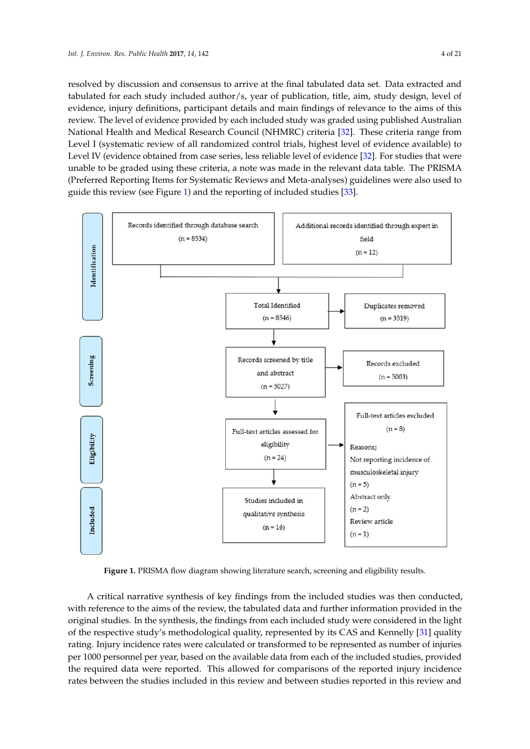resolved by discussion and consensus to arrive at the final tabulated data set. Data extracted and tabulated for each study included author/s, year of publication, title, aim, study design, level of evidence, injury definitions, participant details and main findings of relevance to the aims of this review. The level of evidence provided by each included study was graded using published Australian National Health and Medical Research Council (NHMRC) criteria [\[32\]](#page-19-6). These criteria range from Level I (systematic review of all randomized control trials, highest level of evidence available) to Level IV (evidence obtained from case series, less reliable level of evidence [\[32\]](#page-19-6). For studies that were unable to be graded using these criteria, a note was made in the relevant data table. The PRISMA (Preferred Reporting Items for Systematic Reviews and Meta-analyses) guidelines were also used to guide this review (see Figure [1\)](#page-3-0) and the reporting of included studies [\[33\]](#page-19-7).

<span id="page-3-0"></span>

**Figure 1.** PRISMA flow diagram showing literature search, screening and eligibility results. **Figure 1.** PRISMA flow diagram showing literature search, screening and eligibility results.

A critical narrative synthesis of key findings from the included studies was then conducted, with reference to the aims of the review, the tabulated data and further information provided in the original studies. In the synthesis, the findings from each included study were considered in the light of the respective study's methodological quality, represented by its CAS and Kennelly [31] quality of the respective study's methodological quality, represented by its CAS and Kennelly [\[31\]](#page-19-5) quality rating. Injury incidence rates were calculated or transformed to be represented as number of injuries rating. Injury incidence rates were calculated or transformed to be represented as number of injuries per 1000 personnel per year, based on the available data from each of the included studies, provided per 1000 personnel per year, based on the available data from each of the included studies, provided the required data were reported. This allowed for comparisons of the reported injury incidence rates between the studies included in this review and between studies reported in this review and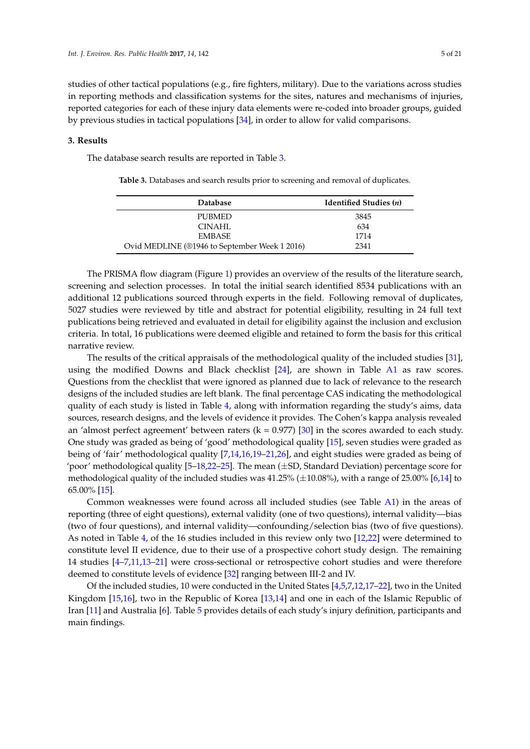studies of other tactical populations (e.g., fire fighters, military). Due to the variations across studies in reporting methods and classification systems for the sites, natures and mechanisms of injuries, reported categories for each of these injury data elements were re-coded into broader groups, guided by previous studies in tactical populations [\[34\]](#page-19-8), in order to allow for valid comparisons.

#### **3. Results**

<span id="page-4-0"></span>The database search results are reported in Table [3.](#page-4-0)

| <b>Database</b>                               | Identified Studies (n) |
|-----------------------------------------------|------------------------|
| PUBMED                                        | 3845                   |
| CINAHL                                        | 634                    |
| <b>EMBASE</b>                                 | 1714                   |
| Ovid MEDLINE (®1946 to September Week 1 2016) | 2341                   |

**Table 3.** Databases and search results prior to screening and removal of duplicates.

The PRISMA flow diagram (Figure [1\)](#page-3-0) provides an overview of the results of the literature search, screening and selection processes. In total the initial search identified 8534 publications with an additional 12 publications sourced through experts in the field. Following removal of duplicates, 5027 studies were reviewed by title and abstract for potential eligibility, resulting in 24 full text publications being retrieved and evaluated in detail for eligibility against the inclusion and exclusion criteria. In total, 16 publications were deemed eligible and retained to form the basis for this critical narrative review.

The results of the critical appraisals of the methodological quality of the included studies [\[31\]](#page-19-5), using the modified Downs and Black checklist [\[24\]](#page-19-0), are shown in Table [A1](#page-1-0) as raw scores. Questions from the checklist that were ignored as planned due to lack of relevance to the research designs of the included studies are left blank. The final percentage CAS indicating the methodological quality of each study is listed in Table [4,](#page-6-0) along with information regarding the study's aims, data sources, research designs, and the levels of evidence it provides. The Cohen's kappa analysis revealed an 'almost perfect agreement' between raters  $(k = 0.977)$  [\[30\]](#page-19-4) in the scores awarded to each study. One study was graded as being of 'good' methodological quality [\[15\]](#page-18-15), seven studies were graded as being of 'fair' methodological quality [\[7](#page-18-4)[,14](#page-18-11)[,16](#page-18-19)[,19–](#page-18-20)[21](#page-18-21)[,26\]](#page-19-2), and eight studies were graded as being of 'poor' methodological quality  $[5-18,22-25]$  $[5-18,22-25]$  $[5-18,22-25]$  $[5-18,22-25]$ . The mean  $(\pm SD)$  Standard Deviation) percentage score for methodological quality of the included studies was  $41.25\%$  ( $\pm 10.08\%$ ), with a range of 25.00% [\[6,](#page-18-6)[14\]](#page-18-11) to 65.00% [\[15\]](#page-18-15).

Common weaknesses were found across all included studies (see Table [A1\)](#page-1-0) in the areas of reporting (three of eight questions), external validity (one of two questions), internal validity—bias (two of four questions), and internal validity—confounding/selection bias (two of five questions). As noted in Table [4,](#page-6-0) of the 16 studies included in this review only two [\[12](#page-18-14)[,22\]](#page-18-17) were determined to constitute level II evidence, due to their use of a prospective cohort study design. The remaining 14 studies [\[4](#page-18-3)[–7,](#page-18-4)[11,](#page-18-10)[13–](#page-18-12)[21\]](#page-18-21) were cross-sectional or retrospective cohort studies and were therefore deemed to constitute levels of evidence [\[32\]](#page-19-6) ranging between III-2 and IV.

Of the included studies, 10 were conducted in the United States [\[4,](#page-18-3)[5,](#page-18-5)[7,](#page-18-4)[12](#page-18-14)[,17](#page-18-13)[–22\]](#page-18-17), two in the United Kingdom [\[15](#page-18-15)[,16\]](#page-18-19), two in the Republic of Korea [\[13,](#page-18-12)[14\]](#page-18-11) and one in each of the Islamic Republic of Iran [\[11\]](#page-18-10) and Australia [\[6\]](#page-18-6). Table [5](#page-11-0) provides details of each study's injury definition, participants and main findings.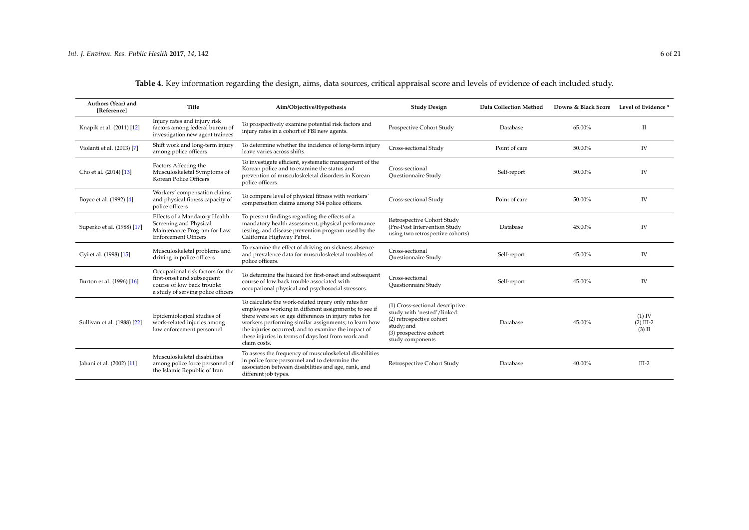| Authors (Year) and<br>[Reference] | Title                                                                                                                                | Aim/Objective/Hypothesis                                                                                                                                                                                                                                                                                                                                   | <b>Study Design</b>                                                                                                                                    | Data Collection Method | Downs & Black Score | Level of Evidence *                 |
|-----------------------------------|--------------------------------------------------------------------------------------------------------------------------------------|------------------------------------------------------------------------------------------------------------------------------------------------------------------------------------------------------------------------------------------------------------------------------------------------------------------------------------------------------------|--------------------------------------------------------------------------------------------------------------------------------------------------------|------------------------|---------------------|-------------------------------------|
| Knapik et al. (2011) [12]         | Injury rates and injury risk<br>factors among federal bureau of<br>investigation new agent trainees                                  | To prospectively examine potential risk factors and<br>injury rates in a cohort of FBI new agents.                                                                                                                                                                                                                                                         | Prospective Cohort Study                                                                                                                               | Database               | 65.00%              | П                                   |
| Violanti et al. (2013) [7]        | Shift work and long-term injury<br>among police officers                                                                             | To determine whether the incidence of long-term injury<br>leave varies across shifts.                                                                                                                                                                                                                                                                      | Cross-sectional Study                                                                                                                                  | Point of care          | 50.00%              | IV                                  |
| Cho et al. (2014) [13]            | Factors Affecting the<br>Musculoskeletal Symptoms of<br>Korean Police Officers                                                       | To investigate efficient, systematic management of the<br>Korean police and to examine the status and<br>prevention of musculoskeletal disorders in Korean<br>police officers.                                                                                                                                                                             | Cross-sectional<br>Questionnaire Study                                                                                                                 | Self-report            | 50.00%              | IV                                  |
| Boyce et al. (1992) [4]           | Workers' compensation claims<br>and physical fitness capacity of<br>police officers                                                  | To compare level of physical fitness with workers'<br>compensation claims among 514 police officers.                                                                                                                                                                                                                                                       | Cross-sectional Study                                                                                                                                  | Point of care          | 50.00%              | IV                                  |
| Superko et al. (1988) [17]        | Effects of a Mandatory Health<br>Screening and Physical<br>Maintenance Program for Law<br><b>Enforcement Officers</b>                | To present findings regarding the effects of a<br>mandatory health assessment, physical performance<br>testing, and disease prevention program used by the<br>California Highway Patrol.                                                                                                                                                                   | Retrospective Cohort Study<br>(Pre-Post Intervention Study<br>using two retrospective cohorts)                                                         | Database               | 45.00%              | <b>IV</b>                           |
| Gyi et al. (1998) [15]            | Musculoskeletal problems and<br>driving in police officers                                                                           | To examine the effect of driving on sickness absence<br>and prevalence data for musculoskeletal troubles of<br>police officers.                                                                                                                                                                                                                            | Cross-sectional<br><b>Ouestionnaire Study</b>                                                                                                          | Self-report            | 45.00%              | IV                                  |
| Burton et al. (1996) [16]         | Occupational risk factors for the<br>first-onset and subsequent<br>course of low back trouble:<br>a study of serving police officers | To determine the hazard for first-onset and subsequent<br>course of low back trouble associated with<br>occupational physical and psychosocial stressors.                                                                                                                                                                                                  | Cross-sectional<br>Questionnaire Study                                                                                                                 | Self-report            | 45.00%              | IV                                  |
| Sullivan et al. (1988) [22]       | Epidemiological studies of<br>work-related injuries among<br>law enforcement personnel                                               | To calculate the work-related injury only rates for<br>employees working in different assignments; to see if<br>there were sex or age differences in injury rates for<br>workers performing similar assignments; to learn how<br>the injuries occurred; and to examine the impact of<br>these injuries in terms of days lost from work and<br>claim costs. | (1) Cross-sectional descriptive<br>study with 'nested'/linked:<br>(2) retrospective cohort<br>study; and<br>(3) prospective cohort<br>study components | Database               | 45.00%              | $(1)$ IV<br>$(2)$ III-2<br>$(3)$ II |
| Jahani et al. (2002) [11]         | Musculoskeletal disabilities<br>among police force personnel of<br>the Islamic Republic of Iran                                      | To assess the frequency of musculoskeletal disabilities<br>in police force personnel and to determine the<br>association between disabilities and age, rank, and<br>different job types.                                                                                                                                                                   | Retrospective Cohort Study                                                                                                                             | Database               | 40.00%              | $III-2$                             |

**Table 4.** Key information regarding the design, aims, data sources, critical appraisal score and levels of evidence of each included study.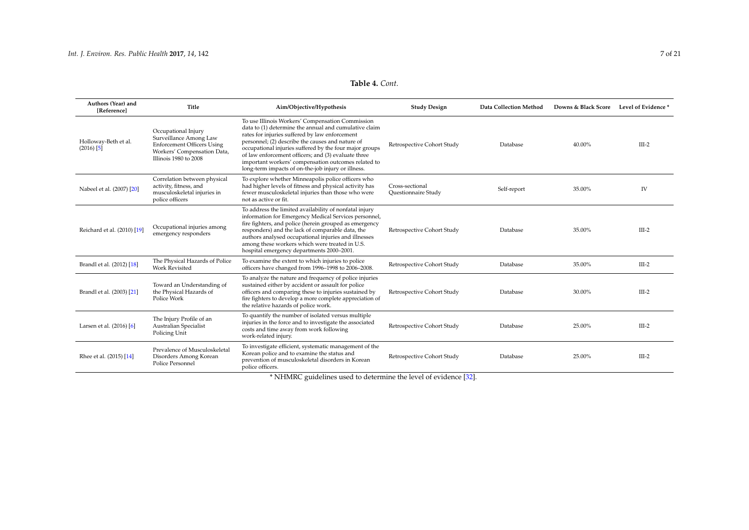## **Table 4.** *Cont.*

<span id="page-6-0"></span>

| Authors (Year) and<br>[Reference]    | Title                                                                                                                                      | Aim/Objective/Hypothesis                                                                                                                                                                                                                                                                                                                                                                                                                       | <b>Study Design</b>                    | Data Collection Method | Downs & Black Score | Level of Evidence* |
|--------------------------------------|--------------------------------------------------------------------------------------------------------------------------------------------|------------------------------------------------------------------------------------------------------------------------------------------------------------------------------------------------------------------------------------------------------------------------------------------------------------------------------------------------------------------------------------------------------------------------------------------------|----------------------------------------|------------------------|---------------------|--------------------|
| Holloway-Beth et al.<br>$(2016)$ [5] | Occupational Injury<br>Surveillance Among Law<br><b>Enforcement Officers Using</b><br>Workers' Compensation Data,<br>Illinois 1980 to 2008 | To use Illinois Workers' Compensation Commission<br>data to (1) determine the annual and cumulative claim<br>rates for injuries suffered by law enforcement<br>personnel; (2) describe the causes and nature of<br>occupational injuries suffered by the four major groups<br>of law enforcement officers; and (3) evaluate three<br>important workers' compensation outcomes related to<br>long-term impacts of on-the-job injury or illness. | Retrospective Cohort Study             | Database               | 40.00%              | $III-2$            |
| Nabeel et al. (2007) [20]            | Correlation between physical<br>activity, fitness, and<br>musculoskeletal injuries in<br>police officers                                   | To explore whether Minneapolis police officers who<br>had higher levels of fitness and physical activity has<br>fewer musculoskeletal injuries than those who were<br>not as active or fit.                                                                                                                                                                                                                                                    | Cross-sectional<br>Questionnaire Study | Self-report            | 35.00%              | IV                 |
| Reichard et al. (2010) [19]          | Occupational injuries among<br>emergency responders                                                                                        | To address the limited availability of nonfatal injury<br>information for Emergency Medical Services personnel,<br>fire fighters, and police (herein grouped as emergency<br>responders) and the lack of comparable data, the<br>authors analysed occupational injuries and illnesses<br>among these workers which were treated in U.S.<br>hospital emergency departments 2000-2001.                                                           | Retrospective Cohort Study             | Database               | 35.00%              | $III-2$            |
| Brandl et al. (2012) [18]            | The Physical Hazards of Police<br><b>Work Revisited</b>                                                                                    | To examine the extent to which injuries to police<br>officers have changed from 1996-1998 to 2006-2008.                                                                                                                                                                                                                                                                                                                                        | Retrospective Cohort Study             | Database               | 35.00%              | $III-2$            |
| Brandl et al. (2003) [21]            | Toward an Understanding of<br>the Physical Hazards of<br>Police Work                                                                       | To analyze the nature and frequency of police injuries<br>sustained either by accident or assault for police<br>officers and comparing these to injuries sustained by<br>fire fighters to develop a more complete appreciation of<br>the relative hazards of police work.                                                                                                                                                                      | Retrospective Cohort Study             | Database               | 30.00%              | $III-2$            |
| Larsen et al. (2016) [6]             | The Injury Profile of an<br>Australian Specialist<br>Policing Unit                                                                         | To quantify the number of isolated versus multiple<br>injuries in the force and to investigate the associated<br>costs and time away from work following<br>work-related injury.                                                                                                                                                                                                                                                               | Retrospective Cohort Study             | Database               | 25.00%              | $III-2$            |
| Rhee et al. (2015) [14]              | Prevalence of Musculoskeletal<br>Disorders Among Korean<br>Police Personnel                                                                | To investigate efficient, systematic management of the<br>Korean police and to examine the status and<br>prevention of musculoskeletal disorders in Korean<br>police officers.                                                                                                                                                                                                                                                                 | Retrospective Cohort Study             | Database               | 25.00%              | $III-2$            |

\* NHMRC guidelines used to determine the level of evidence [\[32\]](#page-19-9).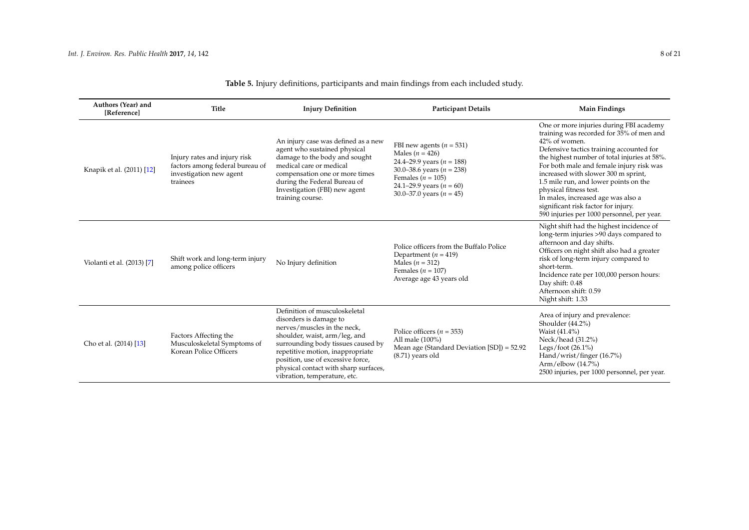| Authors (Year) and<br>[Reference] | Title                                                                                                  | <b>Injury Definition</b>                                                                                                                                                                                                                                                                                        | <b>Participant Details</b>                                                                                                                                                                                     | <b>Main Findings</b>                                                                                                                                                                                                                                                                                                                                                                                                                                                              |
|-----------------------------------|--------------------------------------------------------------------------------------------------------|-----------------------------------------------------------------------------------------------------------------------------------------------------------------------------------------------------------------------------------------------------------------------------------------------------------------|----------------------------------------------------------------------------------------------------------------------------------------------------------------------------------------------------------------|-----------------------------------------------------------------------------------------------------------------------------------------------------------------------------------------------------------------------------------------------------------------------------------------------------------------------------------------------------------------------------------------------------------------------------------------------------------------------------------|
| Knapik et al. (2011) [12]         | Injury rates and injury risk<br>factors among federal bureau of<br>investigation new agent<br>trainees | An injury case was defined as a new<br>agent who sustained physical<br>damage to the body and sought<br>medical care or medical<br>compensation one or more times<br>during the Federal Bureau of<br>Investigation (FBI) new agent<br>training course.                                                          | FBI new agents ( $n = 531$ )<br>Males ( $n = 426$ )<br>24.4-29.9 years ( $n = 188$ )<br>30.0–38.6 years ( $n = 238$ )<br>Females ( $n = 105$ )<br>24.1–29.9 years ( $n = 60$ )<br>30.0–37.0 years ( $n = 45$ ) | One or more injuries during FBI academy<br>training was recorded for 35% of men and<br>42% of women.<br>Defensive tactics training accounted for<br>the highest number of total injuries at 58%.<br>For both male and female injury risk was<br>increased with slower 300 m sprint,<br>1.5 mile run, and lower points on the<br>physical fitness test.<br>In males, increased age was also a<br>significant risk factor for injury.<br>590 injuries per 1000 personnel, per year. |
| Violanti et al. (2013) [7]        | Shift work and long-term injury<br>among police officers                                               | No Injury definition                                                                                                                                                                                                                                                                                            | Police officers from the Buffalo Police<br>Department ( $n = 419$ )<br>Males ( $n = 312$ )<br>Females ( $n = 107$ )<br>Average age 43 years old                                                                | Night shift had the highest incidence of<br>long-term injuries >90 days compared to<br>afternoon and day shifts.<br>Officers on night shift also had a greater<br>risk of long-term injury compared to<br>short-term.<br>Incidence rate per 100,000 person hours:<br>Day shift: 0.48<br>Afternoon shift: 0.59<br>Night shift: 1.33                                                                                                                                                |
| Cho et al. (2014) [13]            | Factors Affecting the<br>Musculoskeletal Symptoms of<br>Korean Police Officers                         | Definition of musculoskeletal<br>disorders is damage to<br>nerves/muscles in the neck,<br>shoulder, waist, arm/leg, and<br>surrounding body tissues caused by<br>repetitive motion, inappropriate<br>position, use of excessive force,<br>physical contact with sharp surfaces,<br>vibration, temperature, etc. | Police officers ( $n = 353$ )<br>All male (100%)<br>Mean age (Standard Deviation [SD]) = 52.92<br>$(8.71)$ years old                                                                                           | Area of injury and prevalence:<br>Shoulder $(44.2\%)$<br>Waist (41.4%)<br>Neck/head (31.2%)<br>Legs/foot $(26.1\%)$<br>Hand/wrist/finger (16.7%)<br>Arm/elbow $(14.7\%)$<br>2500 injuries, per 1000 personnel, per year.                                                                                                                                                                                                                                                          |

## **Table 5.** Injury definitions, participants and main findings from each included study.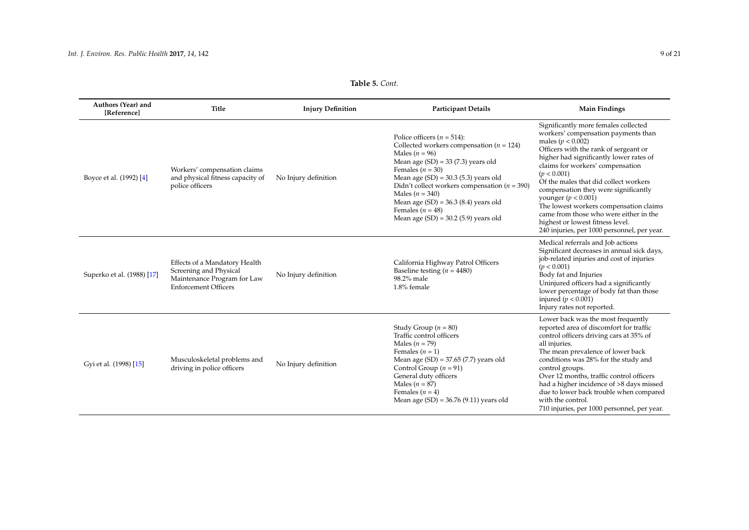| <b>Table 5.</b> Cont. |  |
|-----------------------|--|
|-----------------------|--|

| Authors (Year) and<br>[Reference] | Title                                                                                                                 | <b>Injury Definition</b> | <b>Participant Details</b>                                                                                                                                                                                                                                                                                                                                                                             | <b>Main Findings</b>                                                                                                                                                                                                                                                                                                                                                                                                                                                                                                           |
|-----------------------------------|-----------------------------------------------------------------------------------------------------------------------|--------------------------|--------------------------------------------------------------------------------------------------------------------------------------------------------------------------------------------------------------------------------------------------------------------------------------------------------------------------------------------------------------------------------------------------------|--------------------------------------------------------------------------------------------------------------------------------------------------------------------------------------------------------------------------------------------------------------------------------------------------------------------------------------------------------------------------------------------------------------------------------------------------------------------------------------------------------------------------------|
| Boyce et al. (1992) [4]           | Workers' compensation claims<br>and physical fitness capacity of<br>police officers                                   | No Injury definition     | Police officers ( $n = 514$ ):<br>Collected workers compensation ( $n = 124$ )<br>Males ( $n = 96$ )<br>Mean age $(SD) = 33 (7.3)$ years old<br>Females ( $n = 30$ )<br>Mean age $(SD) = 30.3$ (5.3) years old<br>Didn't collect workers compensation ( $n = 390$ )<br>Males ( $n = 340$ )<br>Mean age $(SD) = 36.3$ (8.4) years old<br>Females ( $n = 48$ )<br>Mean age $(SD) = 30.2$ (5.9) years old | Significantly more females collected<br>workers' compensation payments than<br>males ( $p < 0.002$ )<br>Officers with the rank of sergeant or<br>higher had significantly lower rates of<br>claims for workers' compensation<br>(p < 0.001)<br>Of the males that did collect workers<br>compensation they were significantly<br>younger ( $p < 0.001$ )<br>The lowest workers compensation claims<br>came from those who were either in the<br>highest or lowest fitness level.<br>240 injuries, per 1000 personnel, per year. |
| Superko et al. (1988) [17]        | Effects of a Mandatory Health<br>Screening and Physical<br>Maintenance Program for Law<br><b>Enforcement Officers</b> | No Injury definition     | California Highway Patrol Officers<br>Baseline testing ( $n = 4480$ )<br>98.2% male<br>1.8% female                                                                                                                                                                                                                                                                                                     | Medical referrals and Job actions<br>Significant decreases in annual sick days,<br>job-related injuries and cost of injuries<br>(p < 0.001)<br>Body fat and Injuries<br>Uninjured officers had a significantly<br>lower percentage of body fat than those<br>injured ( $p < 0.001$ )<br>Injury rates not reported.                                                                                                                                                                                                             |
| Gyi et al. (1998) [15]            | Musculoskeletal problems and<br>driving in police officers                                                            | No Injury definition     | Study Group $(n = 80)$<br>Traffic control officers<br>Males ( $n = 79$ )<br>Females $(n = 1)$<br>Mean age $(SD) = 37.65$ (7.7) years old<br>Control Group ( $n = 91$ )<br>General duty officers<br>Males ( $n = 87$ )<br>Females ( $n = 4$ )<br>Mean age $(SD) = 36.76 (9.11)$ years old                                                                                                               | Lower back was the most frequently<br>reported area of discomfort for traffic<br>control officers driving cars at 35% of<br>all injuries.<br>The mean prevalence of lower back<br>conditions was 28% for the study and<br>control groups.<br>Over 12 months, traffic control officers<br>had a higher incidence of >8 days missed<br>due to lower back trouble when compared<br>with the control.<br>710 injuries, per 1000 personnel, per year.                                                                               |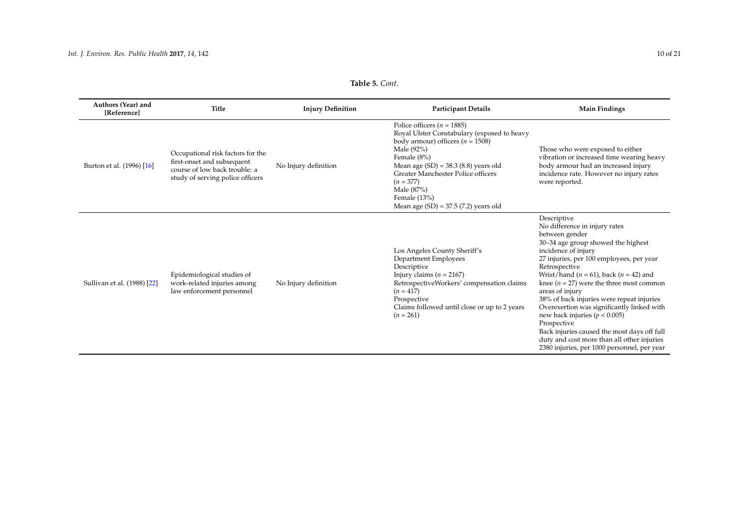## **Table 5.** *Cont.*

| Authors (Year) and<br>[Reference] | <b>Title</b>                                                                                                                         | <b>Injury Definition</b> | <b>Participant Details</b>                                                                                                                                                                                                                                                                                                  | <b>Main Findings</b>                                                                                                                                                                                                                                                                                                                                                                                                                                                                                                                                                                                     |
|-----------------------------------|--------------------------------------------------------------------------------------------------------------------------------------|--------------------------|-----------------------------------------------------------------------------------------------------------------------------------------------------------------------------------------------------------------------------------------------------------------------------------------------------------------------------|----------------------------------------------------------------------------------------------------------------------------------------------------------------------------------------------------------------------------------------------------------------------------------------------------------------------------------------------------------------------------------------------------------------------------------------------------------------------------------------------------------------------------------------------------------------------------------------------------------|
| Burton et al. (1996) [16]         | Occupational risk factors for the<br>first-onset and subsequent<br>course of low back trouble: a<br>study of serving police officers | No Injury definition     | Police officers ( $n = 1885$ )<br>Royal Ulster Constabulary (exposed to heavy<br>body armour) officers ( $n = 1508$ )<br>Male (92%)<br>Female (8%)<br>Mean age $(SD) = 38.3$ (8.8) years old<br>Greater Manchester Police officers<br>$(n = 377)$<br>Male (87%)<br>Female $(13%)$<br>Mean age $(SD) = 37.5 (7.2)$ years old | Those who were exposed to either<br>vibration or increased time wearing heavy<br>body armour had an increased injury<br>incidence rate. However no injury rates<br>were reported.                                                                                                                                                                                                                                                                                                                                                                                                                        |
| Sullivan et al. (1988) [22]       | Epidemiological studies of<br>work-related injuries among<br>law enforcement personnel                                               | No Injury definition     | Los Angeles County Sheriff's<br>Department Employees<br>Descriptive<br>Injury claims ( $n = 2167$ )<br>RetrospectiveWorkers' compensation claims<br>$(n = 417)$<br>Prospective<br>Claims followed until close or up to 2 years<br>$(n = 261)$                                                                               | Descriptive<br>No difference in injury rates<br>between gender<br>30-34 age group showed the highest<br>incidence of injury<br>27 injuries, per 100 employees, per year<br>Retrospective<br>Wrist/hand ( $n = 61$ ), back ( $n = 42$ ) and<br>knee ( $n = 27$ ) were the three most common<br>areas of injury<br>38% of back injuries were repeat injuries<br>Overexertion was significantly linked with<br>new back injuries ( $p < 0.005$ )<br>Prospective<br>Back injuries caused the most days off full<br>duty and cost more than all other injuries<br>2380 injuries, per 1000 personnel, per year |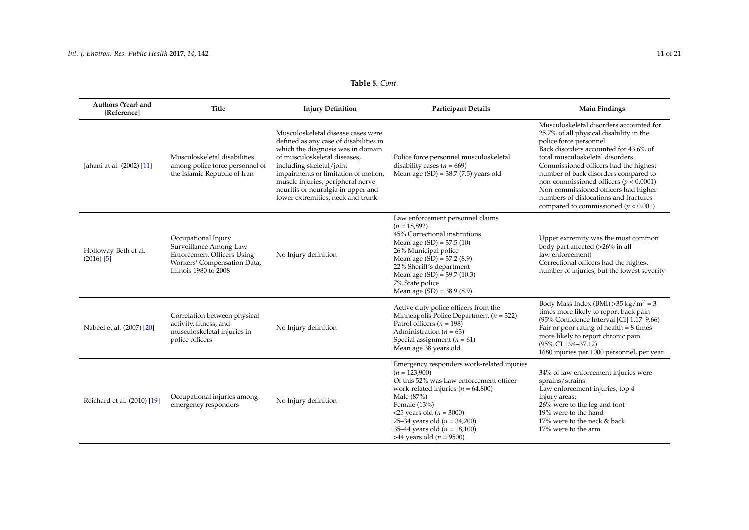## **Table 5.** *Cont.*

| Authors (Year) and<br>[Reference]    | Title                                                                                                                                      | <b>Injury Definition</b>                                                                                                                                                                                                                                                                                                               | <b>Participant Details</b>                                                                                                                                                                                                                                                                                                      | <b>Main Findings</b>                                                                                                                                                                                                                                                                                                                                                                                                                                   |
|--------------------------------------|--------------------------------------------------------------------------------------------------------------------------------------------|----------------------------------------------------------------------------------------------------------------------------------------------------------------------------------------------------------------------------------------------------------------------------------------------------------------------------------------|---------------------------------------------------------------------------------------------------------------------------------------------------------------------------------------------------------------------------------------------------------------------------------------------------------------------------------|--------------------------------------------------------------------------------------------------------------------------------------------------------------------------------------------------------------------------------------------------------------------------------------------------------------------------------------------------------------------------------------------------------------------------------------------------------|
| Jahani at al. (2002) [11]            | Musculoskeletal disabilities<br>among police force personnel of<br>the Islamic Republic of Iran                                            | Musculoskeletal disease cases were<br>defined as any case of disabilities in<br>which the diagnosis was in domain<br>of musculoskeletal diseases,<br>including skeletal/joint<br>impairments or limitation of motion,<br>muscle injuries, peripheral nerve<br>neuritis or neuralgia in upper and<br>lower extremities, neck and trunk. | Police force personnel musculoskeletal<br>disability cases ( $n = 669$ )<br>Mean age $(SD) = 38.7 (7.5)$ years old                                                                                                                                                                                                              | Musculoskeletal disorders accounted for<br>25.7% of all physical disability in the<br>police force personnel.<br>Back disorders accounted for 43.6% of<br>total musculoskeletal disorders.<br>Commissioned officers had the highest<br>number of back disorders compared to<br>non-commissioned officers ( $p < 0.0001$ )<br>Non-commissioned officers had higher<br>numbers of dislocations and fractures<br>compared to commissioned ( $p < 0.001$ ) |
| Holloway-Beth et al.<br>$(2016)$ [5] | Occupational Injury<br>Surveillance Among Law<br><b>Enforcement Officers Using</b><br>Workers' Compensation Data,<br>Illinois 1980 to 2008 | No Injury definition                                                                                                                                                                                                                                                                                                                   | Law enforcement personnel claims<br>$(n = 18,892)$<br>45% Correctional institutions<br>Mean age $(SD) = 37.5(10)$<br>26% Municipal police<br>Mean age $(SD) = 37.2$ (8.9)<br>22% Sheriff's department<br>Mean age $(SD) = 39.7 (10.3)$<br>7% State police<br>Mean age $(SD) = 38.9 (8.9)$                                       | Upper extremity was the most common<br>body part affected (>26% in all<br>law enforcement)<br>Correctional officers had the highest<br>number of injuries, but the lowest severity                                                                                                                                                                                                                                                                     |
| Nabeel et al. (2007) [20]            | Correlation between physical<br>activity, fitness, and<br>musculoskeletal injuries in<br>police officers                                   | No Injury definition                                                                                                                                                                                                                                                                                                                   | Active duty police officers from the<br>Minneapolis Police Department ( $n = 322$ )<br>Patrol officers $(n = 198)$<br>Administration ( $n = 63$ )<br>Special assignment ( $n = 61$ )<br>Mean age 38 years old                                                                                                                   | Body Mass Index (BMI) > 35 kg/m <sup>2</sup> = 3<br>times more likely to report back pain<br>(95% Confidence Interval [CI] 1.17-9.66)<br>Fair or poor rating of health $= 8$ times<br>more likely to report chronic pain<br>(95% CI 1.94-37.12)<br>1680 injuries per 1000 personnel, per year.                                                                                                                                                         |
| Reichard et al. (2010) [19]          | Occupational injuries among<br>emergency responders                                                                                        | No Injury definition                                                                                                                                                                                                                                                                                                                   | Emergency responders work-related injuries<br>$(n = 123,900)$<br>Of this 52% was Law enforcement officer<br>work-related injuries ( $n = 64,800$ )<br>Male (87%)<br>Female (13%)<br>$<$ 25 years old ( <i>n</i> = 3000)<br>25-34 years old ( $n = 34,200$ )<br>35–44 years old ( $n = 18,100$ )<br>>44 years old ( $n = 9500$ ) | 34% of law enforcement injuries were<br>sprains/strains<br>Law enforcement injuries, top 4<br>injury areas;<br>26% were to the leg and foot<br>19% were to the hand<br>17% were to the neck & back<br>17% were to the arm                                                                                                                                                                                                                              |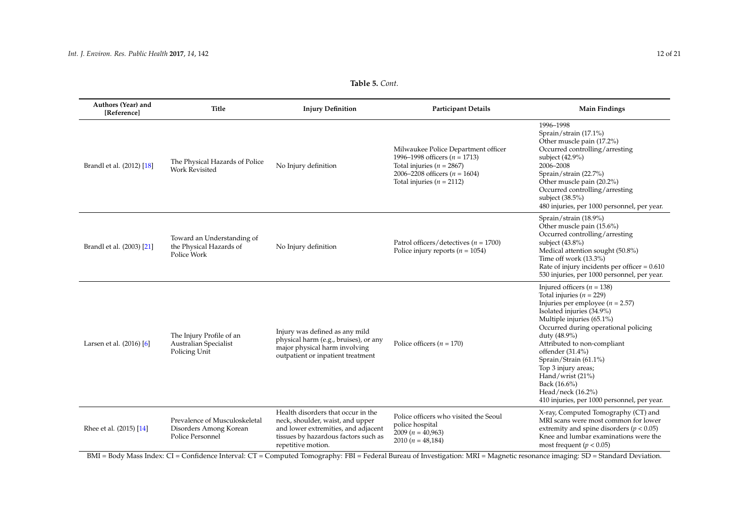## **Table 5.** *Cont.*

| Authors (Year) and<br>[Reference] | Title                                                                       | <b>Injury Definition</b>                                                                                                                                                    | <b>Participant Details</b>                                                                                                                                                      | <b>Main Findings</b>                                                                                                                                                                                                                                                                                                                                                                                                                   |
|-----------------------------------|-----------------------------------------------------------------------------|-----------------------------------------------------------------------------------------------------------------------------------------------------------------------------|---------------------------------------------------------------------------------------------------------------------------------------------------------------------------------|----------------------------------------------------------------------------------------------------------------------------------------------------------------------------------------------------------------------------------------------------------------------------------------------------------------------------------------------------------------------------------------------------------------------------------------|
| Brandl et al. (2012) [18]         | The Physical Hazards of Police<br><b>Work Revisited</b>                     | No Injury definition                                                                                                                                                        | Milwaukee Police Department officer<br>1996–1998 officers ( $n = 1713$ )<br>Total injuries ( $n = 2867$ )<br>2006–2208 officers ( $n = 1604$ )<br>Total injuries ( $n = 2112$ ) | 1996-1998<br>Sprain/strain (17.1%)<br>Other muscle pain (17.2%)<br>Occurred controlling/arresting<br>subject (42.9%)<br>2006-2008<br>Sprain/strain (22.7%)<br>Other muscle pain (20.2%)<br>Occurred controlling/arresting<br>subject (38.5%)<br>480 injuries, per 1000 personnel, per year.                                                                                                                                            |
| Brandl et al. (2003) [21]         | Toward an Understanding of<br>the Physical Hazards of<br>Police Work        | No Injury definition                                                                                                                                                        | Patrol officers/detectives ( $n = 1700$ )<br>Police injury reports ( $n = 1054$ )                                                                                               | Sprain/strain (18.9%)<br>Other muscle pain (15.6%)<br>Occurred controlling/arresting<br>subject $(43.8\%)$<br>Medical attention sought (50.8%)<br>Time off work (13.3%)<br>Rate of injury incidents per officer = $0.610$<br>530 injuries, per 1000 personnel, per year.                                                                                                                                                               |
| Larsen et al. (2016) [6]          | The Injury Profile of an<br><b>Australian Specialist</b><br>Policing Unit   | Injury was defined as any mild<br>physical harm (e.g., bruises), or any<br>major physical harm involving<br>outpatient or inpatient treatment                               | Police officers ( $n = 170$ )                                                                                                                                                   | Injured officers ( $n = 138$ )<br>Total injuries ( $n = 229$ )<br>Injuries per employee ( $n = 2.57$ )<br>Isolated injuries (34.9%)<br>Multiple injuries (65.1%)<br>Occurred during operational policing<br>duty (48.9%)<br>Attributed to non-compliant<br>offender $(31.4\%)$<br>Sprain/Strain (61.1%)<br>Top 3 injury areas;<br>Hand/wrist (21%)<br>Back (16.6%)<br>Head/neck (16.2%)<br>410 injuries, per 1000 personnel, per year. |
| Rhee et al. (2015) [14]           | Prevalence of Musculoskeletal<br>Disorders Among Korean<br>Police Personnel | Health disorders that occur in the<br>neck, shoulder, waist, and upper<br>and lower extremities, and adjacent<br>tissues by hazardous factors such as<br>repetitive motion. | Police officers who visited the Seoul<br>police hospital<br>$2009(n = 40,963)$<br>2010 $(n = 48,184)$                                                                           | X-ray, Computed Tomography (CT) and<br>MRI scans were most common for lower<br>extremity and spine disorders ( $p < 0.05$ )<br>Knee and lumbar examinations were the<br>most frequent ( $p < 0.05$ )                                                                                                                                                                                                                                   |

<span id="page-11-0"></span>BMI = Body Mass Index: CI = Confidence Interval: CT = Computed Tomography: FBI = Federal Bureau of Investigation: MRI = Magnetic resonance imaging: SD = Standard Deviation.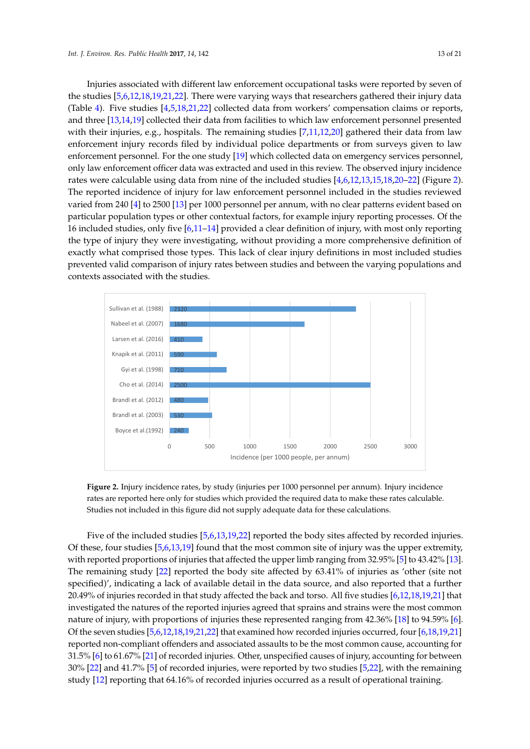Injuries associated with different law enforcement occupational tasks were reported by seven of the studies [\[5,](#page-18-5)[6](#page-18-6)[,12,](#page-18-14)[18](#page-18-16)[,19,](#page-18-20)[21](#page-18-21)[,22\]](#page-18-17). There were varying ways that researchers gathered their injury data (Table [4\)](#page-6-0). Five studies [\[4,](#page-18-3)[5,](#page-18-5)[18,](#page-18-16)[21,](#page-18-21)[22\]](#page-18-17) collected data from workers' compensation claims or reports, and three [\[13](#page-18-12)[,14](#page-18-11)[,19\]](#page-18-20) collected their data from facilities to which law enforcement personnel presented with their injuries, e.g., hospitals. The remaining studies  $[7,11,12,20]$  $[7,11,12,20]$  $[7,11,12,20]$  $[7,11,12,20]$  gathered their data from law enforcement injury records filed by individual police departments or from surveys given to law enforcement personnel. For the one study [\[19\]](#page-18-20) which collected data on emergency services personnel, only law enforcement officer data was extracted and used in this review. The observed injury incidence rates were calculable using data from nine of the included studies  $\left[4,6,12,13,15,18,20$  $\left[4,6,12,13,15,18,20$  $\left[4,6,12,13,15,18,20$  $\left[4,6,12,13,15,18,20$  $\left[4,6,12,13,15,18,20$  $\left[4,6,12,13,15,18,20$  $\left[4,6,12,13,15,18,20$  $\left[4,6,12,13,15,18,20$ [–22\]](#page-18-17) (Figure [2\)](#page-12-0). The reported incidence of injury for law enforcement personnel included in the studies reviewed varied from 240 [\[4\]](#page-18-3) to 2500 [\[13\]](#page-18-12) per 1000 personnel per annum, with no clear patterns evident based on particular population types or other contextual factors, for example injury reporting processes. Of the 16 included studies, only five [\[6,](#page-18-6)[11–](#page-18-10)[14\]](#page-18-11) provided a clear definition of injury, with most only reporting the type of injury they were investigating, without providing a more comprehensive definition of exactly what comprised those types. This lack of clear injury definitions in most included studies prevented valid comparison of injury rates between studies and between the varying populations and contexts associated with the studies. enforcement onicer uata was extracted and used in this review. The observed injury i reputation types of state concluder factors, for example highly reporting processe  $\cdots$  most included studies prevented valid comparison of injury rates between studies and between studies and between studies and between studies and between studies and between studies and between studies and between  $\$ 

<span id="page-12-0"></span>

**Figure 2.** Injury incidence rates, by study (injuries per 1000 personnel per annum). Injury incidence rates are reported here only for studies which provided the required data to make these rates calculable. Studies not included in this figure did not supply adequate data for these calculations.

Five of the included studies [\[5,](#page-18-5)[6,](#page-18-6)[13,](#page-18-12)[19,](#page-18-20)[22\]](#page-18-17) reported the body sites affected by recorded injuries. Of these, four studies [\[5,](#page-18-5)[6,](#page-18-6)[13,](#page-18-12)[19\]](#page-18-20) found that the most common site of injury was the upper extremity, with reported proportions of injuries that affected the upper limb ranging from 32.95% [\[5\]](#page-18-5) to 43.42% [\[13\]](#page-18-12).  $\frac{1}{20.98}$  of injuries recorded that studies recorded the back and torso. All figures  $\frac{1}{20.21}$ The remaining study [\[22\]](#page-18-17) reported the body site affected by 63.41% of injuries as 'other (site not specified)', indicating a lack of available detail in the data source, and also reported that a further 20.49% of injuries recorded in that study affected the back and torso. All five studies [\[6,](#page-18-6)[12,](#page-18-14)[18,](#page-18-16)[19](#page-18-20)[,21\]](#page-18-21) that investigated the natures of the reported injuries agreed that sprains and strains were the most common nature of injury, with proportions of injuries these represented ranging from 42.36% [\[18\]](#page-18-16) to 94.59% [\[6\]](#page-18-6). Of the seven studies  $[5,6,12,18,19,21,22]$  $[5,6,12,18,19,21,22]$  $[5,6,12,18,19,21,22]$  $[5,6,12,18,19,21,22]$  $[5,6,12,18,19,21,22]$  $[5,6,12,18,19,21,22]$  $[5,6,12,18,19,21,22]$  that examined how recorded injuries occurred, four  $[6,18,19,21]$  $[6,18,19,21]$  $[6,18,19,21]$  $[6,18,19,21]$ reported non-compliant offenders and associated assaults to be the most common cause, accounting for 31.5% [\[6\]](#page-18-6) to 61.67% [\[21\]](#page-18-21) of recorded injuries. Other, unspecified causes of injury, accounting for between 30% [\[22\]](#page-18-17) and 41.7% [\[5\]](#page-18-5) of recorded injuries, were reported by two studies [\[5,](#page-18-5)[22\]](#page-18-17), with the remaining study [\[12\]](#page-18-14) reporting that 64.16% of recorded injuries occurred as a result of operational training.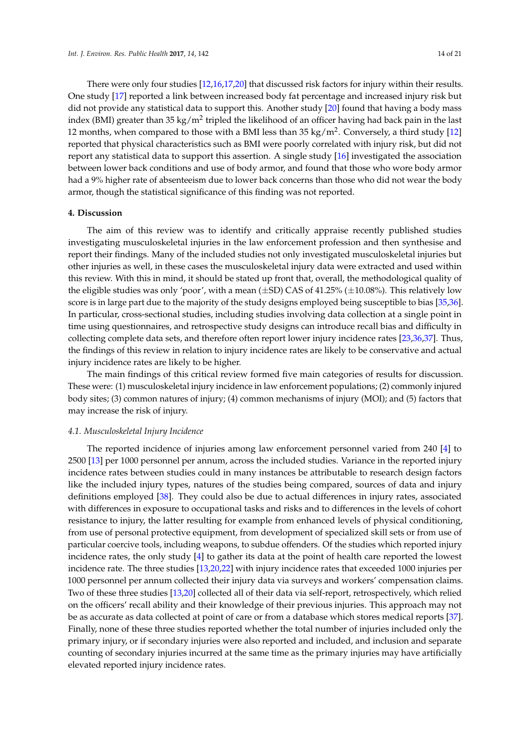There were only four studies [\[12](#page-18-14)[,16](#page-18-19)[,17,](#page-18-13)[20\]](#page-18-35) that discussed risk factors for injury within their results. One study [\[17\]](#page-18-13) reported a link between increased body fat percentage and increased injury risk but did not provide any statistical data to support this. Another study [\[20\]](#page-18-35) found that having a body mass index (BMI) greater than 35 kg/m<sup>2</sup> tripled the likelihood of an officer having had back pain in the last 12 months, when compared to those with a BMI less than 35 kg/m<sup>2</sup>. Conversely, a third study [\[12\]](#page-18-14) reported that physical characteristics such as BMI were poorly correlated with injury risk, but did not report any statistical data to support this assertion. A single study [\[16\]](#page-18-19) investigated the association between lower back conditions and use of body armor, and found that those who wore body armor had a 9% higher rate of absenteeism due to lower back concerns than those who did not wear the body armor, though the statistical significance of this finding was not reported.

#### **4. Discussion**

The aim of this review was to identify and critically appraise recently published studies investigating musculoskeletal injuries in the law enforcement profession and then synthesise and report their findings. Many of the included studies not only investigated musculoskeletal injuries but other injuries as well, in these cases the musculoskeletal injury data were extracted and used within this review. With this in mind, it should be stated up front that, overall, the methodological quality of the eligible studies was only 'poor', with a mean  $(\pm SD)$  CAS of 41.25%  $(\pm 10.08$ %). This relatively low score is in large part due to the majority of the study designs employed being susceptible to bias [\[35](#page-19-10)[,36\]](#page-19-11). In particular, cross-sectional studies, including studies involving data collection at a single point in time using questionnaires, and retrospective study designs can introduce recall bias and difficulty in collecting complete data sets, and therefore often report lower injury incidence rates [\[23,](#page-18-18)[36](#page-19-11)[,37\]](#page-19-12). Thus, the findings of this review in relation to injury incidence rates are likely to be conservative and actual injury incidence rates are likely to be higher.

The main findings of this critical review formed five main categories of results for discussion. These were: (1) musculoskeletal injury incidence in law enforcement populations; (2) commonly injured body sites; (3) common natures of injury; (4) common mechanisms of injury (MOI); and (5) factors that may increase the risk of injury.

#### *4.1. Musculoskeletal Injury Incidence*

The reported incidence of injuries among law enforcement personnel varied from 240 [\[4\]](#page-18-3) to 2500 [\[13\]](#page-18-12) per 1000 personnel per annum, across the included studies. Variance in the reported injury incidence rates between studies could in many instances be attributable to research design factors like the included injury types, natures of the studies being compared, sources of data and injury definitions employed [\[38\]](#page-19-13). They could also be due to actual differences in injury rates, associated with differences in exposure to occupational tasks and risks and to differences in the levels of cohort resistance to injury, the latter resulting for example from enhanced levels of physical conditioning, from use of personal protective equipment, from development of specialized skill sets or from use of particular coercive tools, including weapons, to subdue offenders. Of the studies which reported injury incidence rates, the only study [\[4\]](#page-18-3) to gather its data at the point of health care reported the lowest incidence rate. The three studies [\[13,](#page-18-12)[20](#page-18-35)[,22\]](#page-18-17) with injury incidence rates that exceeded 1000 injuries per 1000 personnel per annum collected their injury data via surveys and workers' compensation claims. Two of these three studies [\[13,](#page-18-12)[20\]](#page-18-35) collected all of their data via self-report, retrospectively, which relied on the officers' recall ability and their knowledge of their previous injuries. This approach may not be as accurate as data collected at point of care or from a database which stores medical reports [\[37\]](#page-19-12). Finally, none of these three studies reported whether the total number of injuries included only the primary injury, or if secondary injuries were also reported and included, and inclusion and separate counting of secondary injuries incurred at the same time as the primary injuries may have artificially elevated reported injury incidence rates.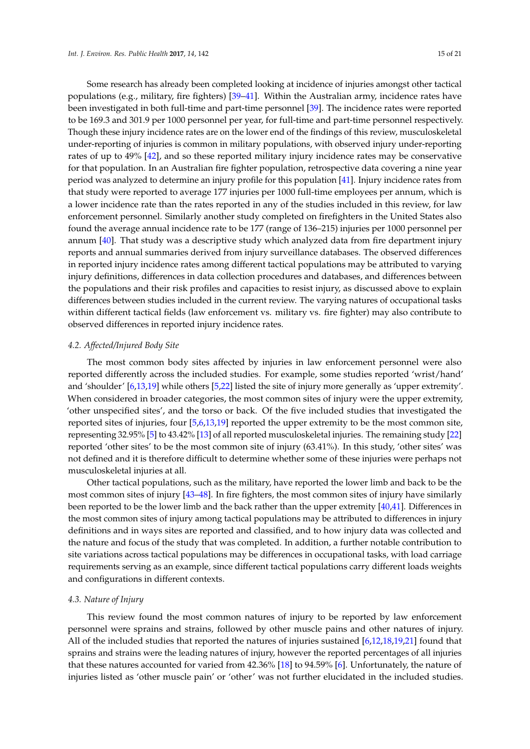Some research has already been completed looking at incidence of injuries amongst other tactical populations (e.g., military, fire fighters) [\[39–](#page-19-14)[41\]](#page-19-15). Within the Australian army, incidence rates have been investigated in both full-time and part-time personnel [\[39\]](#page-19-14). The incidence rates were reported to be 169.3 and 301.9 per 1000 personnel per year, for full-time and part-time personnel respectively. Though these injury incidence rates are on the lower end of the findings of this review, musculoskeletal under-reporting of injuries is common in military populations, with observed injury under-reporting rates of up to 49% [\[42\]](#page-19-16), and so these reported military injury incidence rates may be conservative for that population. In an Australian fire fighter population, retrospective data covering a nine year period was analyzed to determine an injury profile for this population [\[41\]](#page-19-15). Injury incidence rates from that study were reported to average 177 injuries per 1000 full-time employees per annum, which is a lower incidence rate than the rates reported in any of the studies included in this review, for law enforcement personnel. Similarly another study completed on firefighters in the United States also found the average annual incidence rate to be 177 (range of 136–215) injuries per 1000 personnel per annum [\[40\]](#page-19-17). That study was a descriptive study which analyzed data from fire department injury reports and annual summaries derived from injury surveillance databases. The observed differences in reported injury incidence rates among different tactical populations may be attributed to varying injury definitions, differences in data collection procedures and databases, and differences between the populations and their risk profiles and capacities to resist injury, as discussed above to explain differences between studies included in the current review. The varying natures of occupational tasks within different tactical fields (law enforcement vs. military vs. fire fighter) may also contribute to observed differences in reported injury incidence rates.

#### *4.2. Affected/Injured Body Site*

The most common body sites affected by injuries in law enforcement personnel were also reported differently across the included studies. For example, some studies reported 'wrist/hand' and 'shoulder' [\[6](#page-18-6)[,13](#page-18-12)[,19\]](#page-18-20) while others [\[5](#page-18-5)[,22\]](#page-18-17) listed the site of injury more generally as 'upper extremity'. When considered in broader categories, the most common sites of injury were the upper extremity, 'other unspecified sites', and the torso or back. Of the five included studies that investigated the reported sites of injuries, four [\[5,](#page-18-5)[6,](#page-18-6)[13,](#page-18-12)[19\]](#page-18-20) reported the upper extremity to be the most common site, representing 32.95% [\[5\]](#page-18-5) to 43.42% [\[13\]](#page-18-12) of all reported musculoskeletal injuries. The remaining study [\[22\]](#page-18-17) reported 'other sites' to be the most common site of injury (63.41%). In this study, 'other sites' was not defined and it is therefore difficult to determine whether some of these injuries were perhaps not musculoskeletal injuries at all.

Other tactical populations, such as the military, have reported the lower limb and back to be the most common sites of injury [\[43–](#page-19-18)[48\]](#page-20-0). In fire fighters, the most common sites of injury have similarly been reported to be the lower limb and the back rather than the upper extremity [\[40](#page-19-17)[,41\]](#page-19-15). Differences in the most common sites of injury among tactical populations may be attributed to differences in injury definitions and in ways sites are reported and classified, and to how injury data was collected and the nature and focus of the study that was completed. In addition, a further notable contribution to site variations across tactical populations may be differences in occupational tasks, with load carriage requirements serving as an example, since different tactical populations carry different loads weights and configurations in different contexts.

#### *4.3. Nature of Injury*

This review found the most common natures of injury to be reported by law enforcement personnel were sprains and strains, followed by other muscle pains and other natures of injury. All of the included studies that reported the natures of injuries sustained [\[6,](#page-18-6)[12,](#page-18-14)[18,](#page-18-16)[19,](#page-18-20)[21\]](#page-18-21) found that sprains and strains were the leading natures of injury, however the reported percentages of all injuries that these natures accounted for varied from 42.36% [\[18\]](#page-18-16) to 94.59% [\[6\]](#page-18-6). Unfortunately, the nature of injuries listed as 'other muscle pain' or 'other' was not further elucidated in the included studies.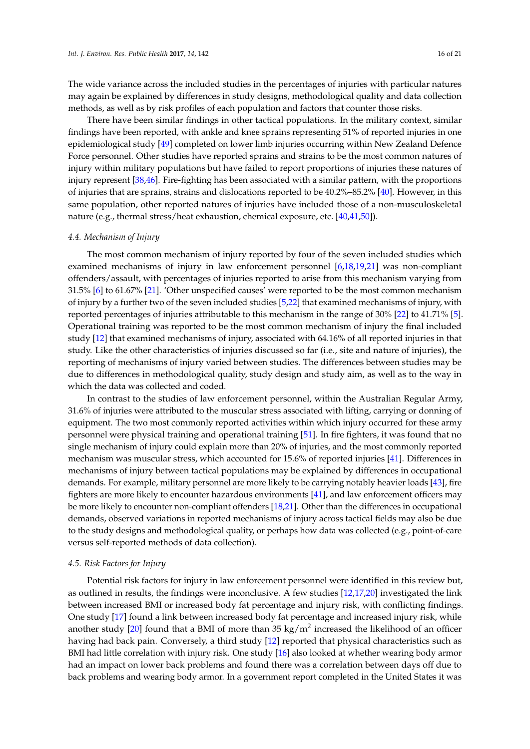The wide variance across the included studies in the percentages of injuries with particular natures may again be explained by differences in study designs, methodological quality and data collection methods, as well as by risk profiles of each population and factors that counter those risks.

There have been similar findings in other tactical populations. In the military context, similar findings have been reported, with ankle and knee sprains representing 51% of reported injuries in one epidemiological study [\[49\]](#page-20-1) completed on lower limb injuries occurring within New Zealand Defence Force personnel. Other studies have reported sprains and strains to be the most common natures of injury within military populations but have failed to report proportions of injuries these natures of injury represent [\[38](#page-19-13)[,46\]](#page-20-2). Fire-fighting has been associated with a similar pattern, with the proportions of injuries that are sprains, strains and dislocations reported to be 40.2%–85.2% [\[40\]](#page-19-17). However, in this same population, other reported natures of injuries have included those of a non-musculoskeletal nature (e.g., thermal stress/heat exhaustion, chemical exposure, etc. [\[40](#page-19-17)[,41](#page-19-15)[,50\]](#page-20-3)).

#### *4.4. Mechanism of Injury*

The most common mechanism of injury reported by four of the seven included studies which examined mechanisms of injury in law enforcement personnel [\[6](#page-18-6)[,18](#page-18-16)[,19](#page-18-20)[,21\]](#page-18-21) was non-compliant offenders/assault, with percentages of injuries reported to arise from this mechanism varying from 31.5% [\[6\]](#page-18-6) to 61.67% [\[21\]](#page-18-21). 'Other unspecified causes' were reported to be the most common mechanism of injury by a further two of the seven included studies [\[5](#page-18-5)[,22\]](#page-18-17) that examined mechanisms of injury, with reported percentages of injuries attributable to this mechanism in the range of 30% [\[22\]](#page-18-17) to 41.71% [\[5\]](#page-18-5). Operational training was reported to be the most common mechanism of injury the final included study [\[12\]](#page-18-14) that examined mechanisms of injury, associated with 64.16% of all reported injuries in that study. Like the other characteristics of injuries discussed so far (i.e., site and nature of injuries), the reporting of mechanisms of injury varied between studies. The differences between studies may be due to differences in methodological quality, study design and study aim, as well as to the way in which the data was collected and coded.

In contrast to the studies of law enforcement personnel, within the Australian Regular Army, 31.6% of injuries were attributed to the muscular stress associated with lifting, carrying or donning of equipment. The two most commonly reported activities within which injury occurred for these army personnel were physical training and operational training [\[51\]](#page-20-4). In fire fighters, it was found that no single mechanism of injury could explain more than 20% of injuries, and the most commonly reported mechanism was muscular stress, which accounted for 15.6% of reported injuries [\[41\]](#page-19-15). Differences in mechanisms of injury between tactical populations may be explained by differences in occupational demands. For example, military personnel are more likely to be carrying notably heavier loads [\[43\]](#page-19-18), fire fighters are more likely to encounter hazardous environments [\[41\]](#page-19-15), and law enforcement officers may be more likely to encounter non-compliant offenders [\[18,](#page-18-16)[21\]](#page-18-21). Other than the differences in occupational demands, observed variations in reported mechanisms of injury across tactical fields may also be due to the study designs and methodological quality, or perhaps how data was collected (e.g., point-of-care versus self-reported methods of data collection).

#### *4.5. Risk Factors for Injury*

Potential risk factors for injury in law enforcement personnel were identified in this review but, as outlined in results, the findings were inconclusive. A few studies [\[12,](#page-18-14)[17,](#page-18-13)[20\]](#page-18-35) investigated the link between increased BMI or increased body fat percentage and injury risk, with conflicting findings. One study [\[17\]](#page-18-13) found a link between increased body fat percentage and increased injury risk, while another study [\[20\]](#page-18-35) found that a BMI of more than 35 kg/m<sup>2</sup> increased the likelihood of an officer having had back pain. Conversely, a third study [\[12\]](#page-18-14) reported that physical characteristics such as BMI had little correlation with injury risk. One study [\[16\]](#page-18-19) also looked at whether wearing body armor had an impact on lower back problems and found there was a correlation between days off due to back problems and wearing body armor. In a government report completed in the United States it was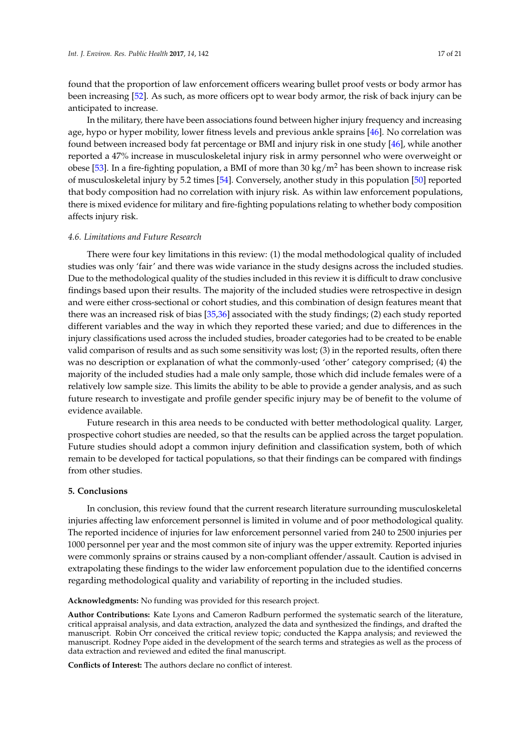found that the proportion of law enforcement officers wearing bullet proof vests or body armor has been increasing [\[52\]](#page-20-5). As such, as more officers opt to wear body armor, the risk of back injury can be anticipated to increase.

In the military, there have been associations found between higher injury frequency and increasing age, hypo or hyper mobility, lower fitness levels and previous ankle sprains [\[46\]](#page-20-2). No correlation was found between increased body fat percentage or BMI and injury risk in one study [\[46\]](#page-20-2), while another reported a 47% increase in musculoskeletal injury risk in army personnel who were overweight or obese [\[53\]](#page-20-6). In a fire-fighting population, a BMI of more than 30 kg/m<sup>2</sup> has been shown to increase risk of musculoskeletal injury by 5.2 times [\[54\]](#page-20-7). Conversely, another study in this population [\[50\]](#page-20-3) reported that body composition had no correlation with injury risk. As within law enforcement populations, there is mixed evidence for military and fire-fighting populations relating to whether body composition affects injury risk.

#### *4.6. Limitations and Future Research*

There were four key limitations in this review: (1) the modal methodological quality of included studies was only 'fair' and there was wide variance in the study designs across the included studies. Due to the methodological quality of the studies included in this review it is difficult to draw conclusive findings based upon their results. The majority of the included studies were retrospective in design and were either cross-sectional or cohort studies, and this combination of design features meant that there was an increased risk of bias [\[35,](#page-19-10)[36\]](#page-19-11) associated with the study findings; (2) each study reported different variables and the way in which they reported these varied; and due to differences in the injury classifications used across the included studies, broader categories had to be created to be enable valid comparison of results and as such some sensitivity was lost; (3) in the reported results, often there was no description or explanation of what the commonly-used 'other' category comprised; (4) the majority of the included studies had a male only sample, those which did include females were of a relatively low sample size. This limits the ability to be able to provide a gender analysis, and as such future research to investigate and profile gender specific injury may be of benefit to the volume of evidence available.

Future research in this area needs to be conducted with better methodological quality. Larger, prospective cohort studies are needed, so that the results can be applied across the target population. Future studies should adopt a common injury definition and classification system, both of which remain to be developed for tactical populations, so that their findings can be compared with findings from other studies.

#### **5. Conclusions**

In conclusion, this review found that the current research literature surrounding musculoskeletal injuries affecting law enforcement personnel is limited in volume and of poor methodological quality. The reported incidence of injuries for law enforcement personnel varied from 240 to 2500 injuries per 1000 personnel per year and the most common site of injury was the upper extremity. Reported injuries were commonly sprains or strains caused by a non-compliant offender/assault. Caution is advised in extrapolating these findings to the wider law enforcement population due to the identified concerns regarding methodological quality and variability of reporting in the included studies.

**Acknowledgments:** No funding was provided for this research project.

**Author Contributions:** Kate Lyons and Cameron Radburn performed the systematic search of the literature, critical appraisal analysis, and data extraction, analyzed the data and synthesized the findings, and drafted the manuscript. Robin Orr conceived the critical review topic; conducted the Kappa analysis; and reviewed the manuscript. Rodney Pope aided in the development of the search terms and strategies as well as the process of data extraction and reviewed and edited the final manuscript.

**Conflicts of Interest:** The authors declare no conflict of interest.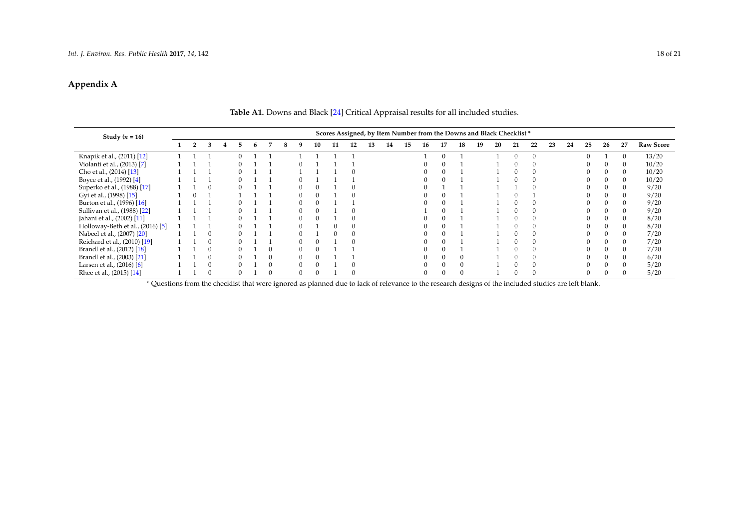## **Appendix A**

| Study $(n = 16)$                 |  |  |   |  |  |  |  | Scores Assigned, by Item Number from the Downs and Black Checklist* |          |    |    |    |    |    |    |    |  |    |    |    |    |    |    |    |    |    |          |                  |
|----------------------------------|--|--|---|--|--|--|--|---------------------------------------------------------------------|----------|----|----|----|----|----|----|----|--|----|----|----|----|----|----|----|----|----|----------|------------------|
|                                  |  |  | з |  |  |  |  | 8                                                                   |          | 10 | 11 | 12 | 13 | 14 | 15 | 16 |  | 18 | 19 | 20 | 21 | 22 | 23 | 24 | 25 | 26 | 27       | <b>Raw Score</b> |
| Knapik et al., (2011) [12]       |  |  |   |  |  |  |  |                                                                     |          |    |    |    |    |    |    |    |  |    |    |    |    |    |    |    |    |    |          | 13/20            |
| Violanti et al., (2013) [7]      |  |  |   |  |  |  |  |                                                                     |          |    |    |    |    |    |    |    |  |    |    |    |    |    |    |    |    |    |          | 10/20            |
| Cho et al., (2014) [13]          |  |  |   |  |  |  |  |                                                                     |          |    |    |    |    |    |    |    |  |    |    |    |    |    |    |    |    |    |          | 10/20            |
| Boyce et al., (1992) [4]         |  |  |   |  |  |  |  |                                                                     |          |    |    |    |    |    |    |    |  |    |    |    |    |    |    |    |    |    | 0        | 10/20            |
| Superko et al., (1988) [17]      |  |  |   |  |  |  |  |                                                                     |          |    |    |    |    |    |    |    |  |    |    |    |    |    |    |    |    |    |          | 9/20             |
| Gyi et al., (1998) [15]          |  |  |   |  |  |  |  |                                                                     |          |    |    |    |    |    |    |    |  |    |    |    |    |    |    |    |    |    |          | 9/20             |
| Burton et al., (1996) [16]       |  |  |   |  |  |  |  |                                                                     |          |    |    |    |    |    |    |    |  |    |    |    |    |    |    |    |    |    |          | 9/20             |
| Sullivan et al., (1988) [22]     |  |  |   |  |  |  |  |                                                                     |          |    |    |    |    |    |    |    |  |    |    |    |    |    |    |    |    |    | $\theta$ | 9/20             |
| Jahani et al., (2002) [11]       |  |  |   |  |  |  |  |                                                                     |          |    |    |    |    |    |    |    |  |    |    |    |    |    |    |    |    |    | $\theta$ | 8/20             |
| Holloway-Beth et al., (2016) [5] |  |  |   |  |  |  |  |                                                                     |          |    |    |    |    |    |    |    |  |    |    |    |    |    |    |    |    |    |          | 8/20             |
| Nabeel et al., (2007) [20]       |  |  |   |  |  |  |  |                                                                     |          |    |    |    |    |    |    |    |  |    |    |    |    |    |    |    |    |    |          | 7/20             |
| Reichard et al., (2010) [19]     |  |  |   |  |  |  |  |                                                                     |          |    |    |    |    |    |    |    |  |    |    |    |    |    |    |    |    |    |          | 7/20             |
| Brandl et al., (2012) [18]       |  |  |   |  |  |  |  |                                                                     |          |    |    |    |    |    |    |    |  |    |    |    |    |    |    |    |    |    |          | 7/20             |
| Brandl et al., (2003) [21]       |  |  |   |  |  |  |  |                                                                     |          |    |    |    |    |    |    |    |  |    |    |    |    |    |    |    |    |    | $\Omega$ | 6/20             |
| Larsen et al., (2016) [6]        |  |  |   |  |  |  |  |                                                                     |          |    |    |    |    |    |    |    |  |    |    |    |    |    |    |    |    |    |          | 5/20             |
| Rhee et al., (2015) [14]         |  |  |   |  |  |  |  |                                                                     | $\Omega$ |    |    |    |    |    |    |    |  |    |    |    |    |    |    |    |    |    |          | 5/20             |

## **Table A1.** Downs and Black [\[24\]](#page-19-19) Critical Appraisal results for all included studies.

\* Questions from the checklist that were ignored as planned due to lack of relevance to the research designs of the included studies are left blank.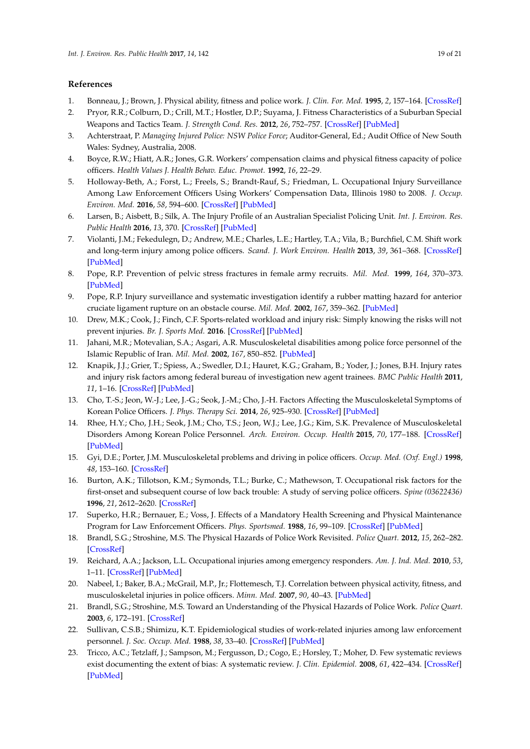### <span id="page-18-33"></span><span id="page-18-29"></span><span id="page-18-24"></span><span id="page-18-23"></span>**References**

- <span id="page-18-0"></span>1. Bonneau, J.; Brown, J. Physical ability, fitness and police work. *J. Clin. For. Med.* **1995**, *2*, 157–164. [\[CrossRef\]](http://dx.doi.org/10.1016/1353-1131(95)90085-3)
- <span id="page-18-28"></span><span id="page-18-1"></span>2. Pryor, R.R.; Colburn, D.; Crill, M.T.; Hostler, D.P.; Suyama, J. Fitness Characteristics of a Suburban Special Weapons and Tactics Team. *J. Strength Cond. Res.* **2012**, *26*, 752–757. [\[CrossRef\]](http://dx.doi.org/10.1519/JSC.0b013e318225f177) [\[PubMed\]](http://www.ncbi.nlm.nih.gov/pubmed/22289693)
- <span id="page-18-22"></span><span id="page-18-2"></span>3. Achterstraat, P. *Managing Injured Police: NSW Police Force*; Auditor-General, Ed.; Audit Office of New South Wales: Sydney, Australia, 2008.
- <span id="page-18-3"></span>4. Boyce, R.W.; Hiatt, A.R.; Jones, G.R. Workers' compensation claims and physical fitness capacity of police officers. *Health Values J. Health Behav. Educ. Promot.* **1992**, *16*, 22–29.
- <span id="page-18-34"></span><span id="page-18-5"></span>5. Holloway-Beth, A.; Forst, L.; Freels, S.; Brandt-Rauf, S.; Friedman, L. Occupational Injury Surveillance Among Law Enforcement Officers Using Workers' Compensation Data, Illinois 1980 to 2008. *J. Occup. Environ. Med.* **2016**, *58*, 594–600. [\[CrossRef\]](http://dx.doi.org/10.1097/JOM.0000000000000708) [\[PubMed\]](http://www.ncbi.nlm.nih.gov/pubmed/27035107)
- <span id="page-18-6"></span>6. Larsen, B.; Aisbett, B.; Silk, A. The Injury Profile of an Australian Specialist Policing Unit. *Int. J. Environ. Res. Public Health* **2016**, *13*, 370. [\[CrossRef\]](http://dx.doi.org/10.3390/ijerph13040370) [\[PubMed\]](http://www.ncbi.nlm.nih.gov/pubmed/27023586)
- <span id="page-18-25"></span><span id="page-18-4"></span>7. Violanti, J.M.; Fekedulegn, D.; Andrew, M.E.; Charles, L.E.; Hartley, T.A.; Vila, B.; Burchfiel, C.M. Shift work and long-term injury among police officers. *Scand. J. Work Environ. Health* **2013**, *39*, 361–368. [\[CrossRef\]](http://dx.doi.org/10.5271/sjweh.3342) [\[PubMed\]](http://www.ncbi.nlm.nih.gov/pubmed/23503596)
- <span id="page-18-26"></span><span id="page-18-7"></span>8. Pope, R.P. Prevention of pelvic stress fractures in female army recruits. *Mil. Med.* **1999**, *164*, 370–373. [\[PubMed\]](http://www.ncbi.nlm.nih.gov/pubmed/10332180)
- <span id="page-18-8"></span>9. Pope, R.P. Injury surveillance and systematic investigation identify a rubber matting hazard for anterior cruciate ligament rupture on an obstacle course. *Mil. Med.* **2002**, *167*, 359–362. [\[PubMed\]](http://www.ncbi.nlm.nih.gov/pubmed/11977891)
- <span id="page-18-9"></span>10. Drew, M.K.; Cook, J.; Finch, C.F. Sports-related workload and injury risk: Simply knowing the risks will not prevent injuries. *Br. J. Sports Med.* **2016**. [\[CrossRef\]](http://dx.doi.org/10.1136/bjsports-2015-095871) [\[PubMed\]](http://www.ncbi.nlm.nih.gov/pubmed/27166288)
- <span id="page-18-31"></span><span id="page-18-10"></span>11. Jahani, M.R.; Motevalian, S.A.; Asgari, A.R. Musculoskeletal disabilities among police force personnel of the Islamic Republic of Iran. *Mil. Med.* **2002**, *167*, 850–852. [\[PubMed\]](http://www.ncbi.nlm.nih.gov/pubmed/12392254)
- <span id="page-18-32"></span><span id="page-18-30"></span><span id="page-18-14"></span>12. Knapik, J.J.; Grier, T.; Spiess, A.; Swedler, D.I.; Hauret, K.G.; Graham, B.; Yoder, J.; Jones, B.H. Injury rates and injury risk factors among federal bureau of investigation new agent trainees. *BMC Public Health* **2011**, *11*, 1–16. [\[CrossRef\]](http://dx.doi.org/10.1186/1471-2458-11-920) [\[PubMed\]](http://www.ncbi.nlm.nih.gov/pubmed/22166096)
- <span id="page-18-27"></span><span id="page-18-12"></span>13. Cho, T.-S.; Jeon, W.-J.; Lee, J.-G.; Seok, J.-M.; Cho, J.-H. Factors Affecting the Musculoskeletal Symptoms of Korean Police Officers. *J. Phys. Therapy Sci.* **2014**, *26*, 925–930. [\[CrossRef\]](http://dx.doi.org/10.1589/jpts.26.925) [\[PubMed\]](http://www.ncbi.nlm.nih.gov/pubmed/25013298)
- <span id="page-18-11"></span>14. Rhee, H.Y.; Cho, J.H.; Seok, J.M.; Cho, T.S.; Jeon, W.J.; Lee, J.G.; Kim, S.K. Prevalence of Musculoskeletal Disorders Among Korean Police Personnel. *Arch. Environ. Occup. Health* **2015**, *70*, 177–188. [\[CrossRef\]](http://dx.doi.org/10.1080/19338244.2013.807762) [\[PubMed\]](http://www.ncbi.nlm.nih.gov/pubmed/24965328)
- <span id="page-18-15"></span>15. Gyi, D.E.; Porter, J.M. Musculoskeletal problems and driving in police officers. *Occup. Med. (Oxf. Engl.)* **1998**, *48*, 153–160. [\[CrossRef\]](http://dx.doi.org/10.1093/occmed/48.3.153)
- <span id="page-18-19"></span>16. Burton, A.K.; Tillotson, K.M.; Symonds, T.L.; Burke, C.; Mathewson, T. Occupational risk factors for the first-onset and subsequent course of low back trouble: A study of serving police officers. *Spine (03622436)* **1996**, *21*, 2612–2620. [\[CrossRef\]](http://dx.doi.org/10.1097/00007632-199611150-00011)
- <span id="page-18-13"></span>17. Superko, H.R.; Bernauer, E.; Voss, J. Effects of a Mandatory Health Screening and Physical Maintenance Program for Law Enforcement Officers. *Phys. Sportsmed.* **1988**, *16*, 99–109. [\[CrossRef\]](http://dx.doi.org/10.1080/00913847.1988.11709599) [\[PubMed\]](http://www.ncbi.nlm.nih.gov/pubmed/27404150)
- <span id="page-18-16"></span>18. Brandl, S.G.; Stroshine, M.S. The Physical Hazards of Police Work Revisited. *Police Quart.* **2012**, *15*, 262–282. [\[CrossRef\]](http://dx.doi.org/10.1177/1098611112447757)
- <span id="page-18-20"></span>19. Reichard, A.A.; Jackson, L.L. Occupational injuries among emergency responders. *Am. J. Ind. Med.* **2010**, *53*, 1–11. [\[CrossRef\]](http://dx.doi.org/10.1002/ajim.20772) [\[PubMed\]](http://www.ncbi.nlm.nih.gov/pubmed/19894221)
- <span id="page-18-35"></span>20. Nabeel, I.; Baker, B.A.; McGrail, M.P., Jr.; Flottemesch, T.J. Correlation between physical activity, fitness, and musculoskeletal injuries in police officers. *Minn. Med.* **2007**, *90*, 40–43. [\[PubMed\]](http://www.ncbi.nlm.nih.gov/pubmed/17966263)
- <span id="page-18-21"></span>21. Brandl, S.G.; Stroshine, M.S. Toward an Understanding of the Physical Hazards of Police Work. *Police Quart.* **2003**, *6*, 172–191. [\[CrossRef\]](http://dx.doi.org/10.1177/1098611103006002003)
- <span id="page-18-17"></span>22. Sullivan, C.S.B.; Shimizu, K.T. Epidemiological studies of work-related injuries among law enforcement personnel. *J. Soc. Occup. Med.* **1988**, *38*, 33–40. [\[CrossRef\]](http://dx.doi.org/10.1093/occmed/38.1-2.33) [\[PubMed\]](http://www.ncbi.nlm.nih.gov/pubmed/2967402)
- <span id="page-18-18"></span>23. Tricco, A.C.; Tetzlaff, J.; Sampson, M.; Fergusson, D.; Cogo, E.; Horsley, T.; Moher, D. Few systematic reviews exist documenting the extent of bias: A systematic review. *J. Clin. Epidemiol.* **2008**, *61*, 422–434. [\[CrossRef\]](http://dx.doi.org/10.1016/j.jclinepi.2007.10.017) [\[PubMed\]](http://www.ncbi.nlm.nih.gov/pubmed/18394534)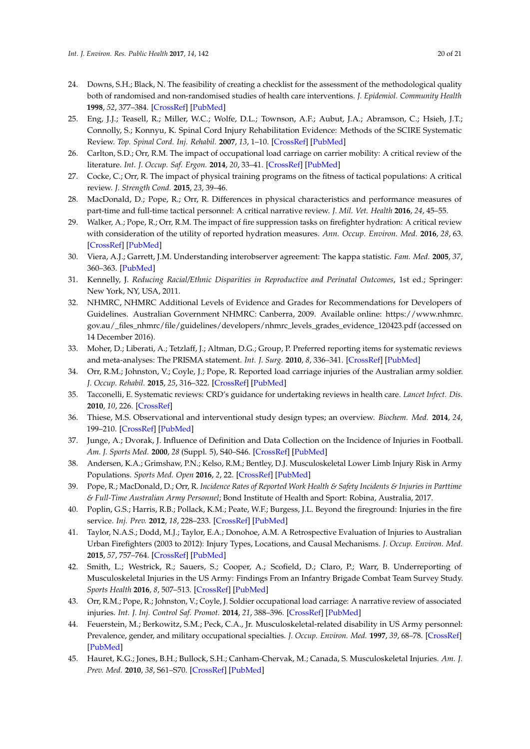- <span id="page-19-19"></span><span id="page-19-9"></span><span id="page-19-0"></span>24. Downs, S.H.; Black, N. The feasibility of creating a checklist for the assessment of the methodological quality both of randomised and non-randomised studies of health care interventions. *J. Epidemiol. Community Health* **1998**, *52*, 377–384. [\[CrossRef\]](http://dx.doi.org/10.1136/jech.52.6.377) [\[PubMed\]](http://www.ncbi.nlm.nih.gov/pubmed/9764259)
- <span id="page-19-1"></span>25. Eng, J.J.; Teasell, R.; Miller, W.C.; Wolfe, D.L.; Townson, A.F.; Aubut, J.A.; Abramson, C.; Hsieh, J.T.; Connolly, S.; Konnyu, K. Spinal Cord Injury Rehabilitation Evidence: Methods of the SCIRE Systematic Review. *Top. Spinal Cord. Inj. Rehabil.* **2007**, *13*, 1–10. [\[CrossRef\]](http://dx.doi.org/10.1310/sci1301-1) [\[PubMed\]](http://www.ncbi.nlm.nih.gov/pubmed/22767989)
- <span id="page-19-2"></span>26. Carlton, S.D.; Orr, R.M. The impact of occupational load carriage on carrier mobility: A critical review of the literature. *Int. J. Occup. Saf. Ergon.* **2014**, *20*, 33–41. [\[CrossRef\]](http://dx.doi.org/10.1080/10803548.2014.11077025) [\[PubMed\]](http://www.ncbi.nlm.nih.gov/pubmed/24629868)
- 27. Cocke, C.; Orr, R. The impact of physical training programs on the fitness of tactical populations: A critical review. *J. Strength Cond.* **2015**, *23*, 39–46.
- 28. MacDonald, D.; Pope, R.; Orr, R. Differences in physical characteristics and performance measures of part-time and full-time tactical personnel: A critical narrative review. *J. Mil. Vet. Health* **2016**, *24*, 45–55.
- <span id="page-19-3"></span>29. Walker, A.; Pope, R.; Orr, R.M. The impact of fire suppression tasks on firefighter hydration: A critical review with consideration of the utility of reported hydration measures. *Ann. Occup. Environ. Med.* **2016**, *28*, 63. [\[CrossRef\]](http://dx.doi.org/10.1186/s40557-016-0152-x) [\[PubMed\]](http://www.ncbi.nlm.nih.gov/pubmed/27891237)
- <span id="page-19-4"></span>30. Viera, A.J.; Garrett, J.M. Understanding interobserver agreement: The kappa statistic. *Fam. Med.* **2005**, *37*, 360–363. [\[PubMed\]](http://www.ncbi.nlm.nih.gov/pubmed/15883903)
- <span id="page-19-5"></span>31. Kennelly, J. *Reducing Racial/Ethnic Disparities in Reproductive and Perinatal Outcomes*, 1st ed.; Springer: New York, NY, USA, 2011.
- <span id="page-19-6"></span>32. NHMRC, NHMRC Additional Levels of Evidence and Grades for Recommendations for Developers of Guidelines. Australian Government NHMRC: Canberra, 2009. Available online: [https://www.nhmrc.](https://www.nhmrc.gov.au/_files_nhmrc/file/guidelines/developers/nhmrc_levels_grades_evidence_120423.pdf) [gov.au/\\_files\\_nhmrc/file/guidelines/developers/nhmrc\\_levels\\_grades\\_evidence\\_120423.pdf](https://www.nhmrc.gov.au/_files_nhmrc/file/guidelines/developers/nhmrc_levels_grades_evidence_120423.pdf) (accessed on 14 December 2016).
- <span id="page-19-7"></span>33. Moher, D.; Liberati, A.; Tetzlaff, J.; Altman, D.G.; Group, P. Preferred reporting items for systematic reviews and meta-analyses: The PRISMA statement. *Int. J. Surg.* **2010**, *8*, 336–341. [\[CrossRef\]](http://dx.doi.org/10.1016/j.ijsu.2010.02.007) [\[PubMed\]](http://www.ncbi.nlm.nih.gov/pubmed/20171303)
- <span id="page-19-8"></span>34. Orr, R.M.; Johnston, V.; Coyle, J.; Pope, R. Reported load carriage injuries of the Australian army soldier. *J. Occup. Rehabil.* **2015**, *25*, 316–322. [\[CrossRef\]](http://dx.doi.org/10.1007/s10926-014-9540-7) [\[PubMed\]](http://www.ncbi.nlm.nih.gov/pubmed/25178432)
- <span id="page-19-10"></span>35. Tacconelli, E. Systematic reviews: CRD's guidance for undertaking reviews in health care. *Lancet Infect. Dis.* **2010**, *10*, 226. [\[CrossRef\]](http://dx.doi.org/10.1016/S1473-3099(10)70065-7)
- <span id="page-19-11"></span>36. Thiese, M.S. Observational and interventional study design types; an overview. *Biochem. Med.* **2014**, *24*, 199–210. [\[CrossRef\]](http://dx.doi.org/10.11613/BM.2014.022) [\[PubMed\]](http://www.ncbi.nlm.nih.gov/pubmed/24969913)
- <span id="page-19-12"></span>37. Junge, A.; Dvorak, J. Influence of Definition and Data Collection on the Incidence of Injuries in Football. *Am. J. Sports Med.* **2000**, *28* (Suppl. 5), S40–S46. [\[CrossRef\]](http://dx.doi.org/10.1177/28.suppl_5.s-40) [\[PubMed\]](http://www.ncbi.nlm.nih.gov/pubmed/11032106)
- <span id="page-19-13"></span>38. Andersen, K.A.; Grimshaw, P.N.; Kelso, R.M.; Bentley, D.J. Musculoskeletal Lower Limb Injury Risk in Army Populations. *Sports Med. Open* **2016**, *2*, 22. [\[CrossRef\]](http://dx.doi.org/10.1186/s40798-016-0046-z) [\[PubMed\]](http://www.ncbi.nlm.nih.gov/pubmed/27747778)
- <span id="page-19-14"></span>39. Pope, R.; MacDonald, D.; Orr, R. *Incidence Rates of Reported Work Health & Safety Incidents & Injuries in Parttime & Full-Time Australian Army Personnel*; Bond Institute of Health and Sport: Robina, Australia, 2017.
- <span id="page-19-17"></span>40. Poplin, G.S.; Harris, R.B.; Pollack, K.M.; Peate, W.F.; Burgess, J.L. Beyond the fireground: Injuries in the fire service. *Inj. Prev.* **2012**, *18*, 228–233. [\[CrossRef\]](http://dx.doi.org/10.1136/injuryprev-2011-040149) [\[PubMed\]](http://www.ncbi.nlm.nih.gov/pubmed/22117024)
- <span id="page-19-15"></span>41. Taylor, N.A.S.; Dodd, M.J.; Taylor, E.A.; Donohoe, A.M. A Retrospective Evaluation of Injuries to Australian Urban Firefighters (2003 to 2012): Injury Types, Locations, and Causal Mechanisms. *J. Occup. Environ. Med.* **2015**, *57*, 757–764. [\[CrossRef\]](http://dx.doi.org/10.1097/JOM.0000000000000438) [\[PubMed\]](http://www.ncbi.nlm.nih.gov/pubmed/26067214)
- <span id="page-19-16"></span>42. Smith, L.; Westrick, R.; Sauers, S.; Cooper, A.; Scofield, D.; Claro, P.; Warr, B. Underreporting of Musculoskeletal Injuries in the US Army: Findings From an Infantry Brigade Combat Team Survey Study. *Sports Health* **2016**, *8*, 507–513. [\[CrossRef\]](http://dx.doi.org/10.1177/1941738116670873) [\[PubMed\]](http://www.ncbi.nlm.nih.gov/pubmed/27789871)
- <span id="page-19-18"></span>43. Orr, R.M.; Pope, R.; Johnston, V.; Coyle, J. Soldier occupational load carriage: A narrative review of associated injuries. *Int. J. Inj. Control Saf. Promot.* **2014**, *21*, 388–396. [\[CrossRef\]](http://dx.doi.org/10.1080/17457300.2013.833944) [\[PubMed\]](http://www.ncbi.nlm.nih.gov/pubmed/24028439)
- 44. Feuerstein, M.; Berkowitz, S.M.; Peck, C.A., Jr. Musculoskeletal-related disability in US Army personnel: Prevalence, gender, and military occupational specialties. *J. Occup. Environ. Med.* **1997**, *39*, 68–78. [\[CrossRef\]](http://dx.doi.org/10.1097/00043764-199701000-00013) [\[PubMed\]](http://www.ncbi.nlm.nih.gov/pubmed/9029434)
- 45. Hauret, K.G.; Jones, B.H.; Bullock, S.H.; Canham-Chervak, M.; Canada, S. Musculoskeletal Injuries. *Am. J. Prev. Med.* **2010**, *38*, S61–S70. [\[CrossRef\]](http://dx.doi.org/10.1016/j.amepre.2009.10.021) [\[PubMed\]](http://www.ncbi.nlm.nih.gov/pubmed/20117601)